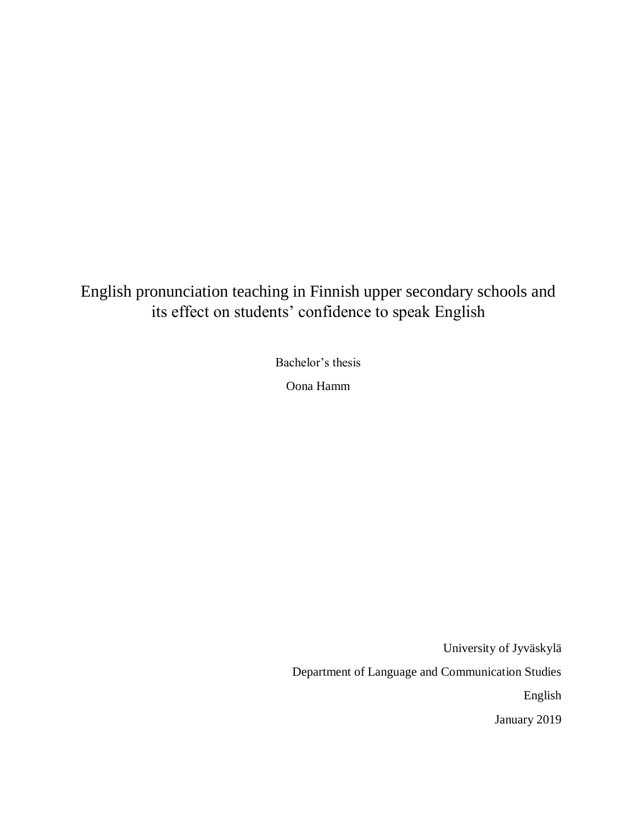English pronunciation teaching in Finnish upper secondary schools and its effect on students' confidence to speak English

Bachelor's thesis

Oona Hamm

University of Jyväskylä Department of Language and Communication Studies English January 2019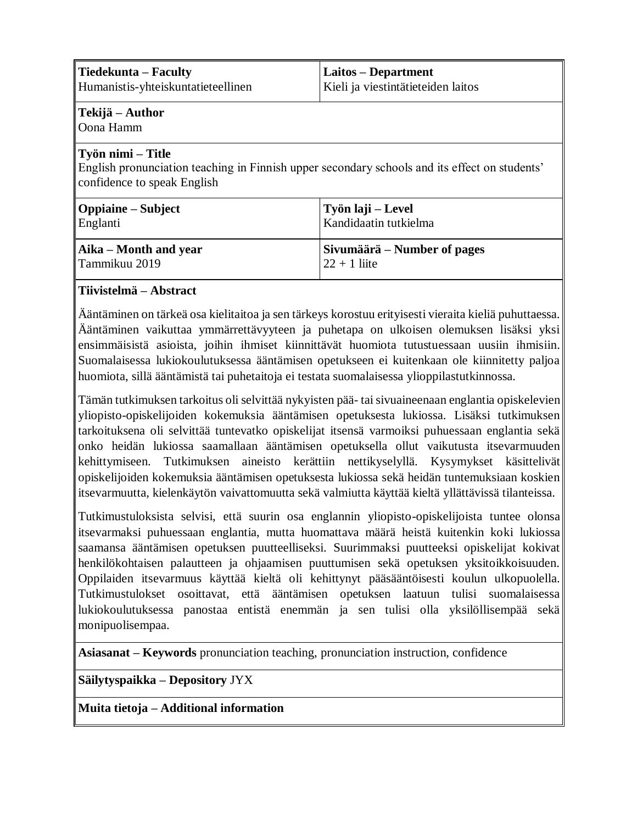| ∥Tiedekunta – Faculty<br>Humanistis-yhteiskuntatieteellinen                                                                                                                        | Laitos - Department<br>Kieli ja viestintätieteiden laitos |
|------------------------------------------------------------------------------------------------------------------------------------------------------------------------------------|-----------------------------------------------------------|
| ∥Tekijä – Author<br>Oona Hamm                                                                                                                                                      |                                                           |
| ∥Työn nimi – Title<br>English pronunciation teaching in Finnish upper secondary schools and its effect on students'<br>confidence to speak English                                 |                                                           |
| Oppiaine – Subject<br>Englanti                                                                                                                                                     | Työn laji – Level<br>Kandidaatin tutkielma                |
| $\parallel$ Aika – Month and year<br>l Tammikuu 2019<br><b><i>Presentation of the contract of the contract of the contract of the contract of the contract of the contract</i></b> | Sivumäärä – Number of pages<br>$22 + 1$ liite             |

## **Tiivistelmä – Abstract**

Ääntäminen on tärkeä osa kielitaitoa ja sen tärkeys korostuu erityisesti vieraita kieliä puhuttaessa. Ääntäminen vaikuttaa ymmärrettävyyteen ja puhetapa on ulkoisen olemuksen lisäksi yksi ensimmäisistä asioista, joihin ihmiset kiinnittävät huomiota tutustuessaan uusiin ihmisiin. Suomalaisessa lukiokoulutuksessa ääntämisen opetukseen ei kuitenkaan ole kiinnitetty paljoa huomiota, sillä ääntämistä tai puhetaitoja ei testata suomalaisessa ylioppilastutkinnossa.

Tämän tutkimuksen tarkoitus oli selvittää nykyisten pää- tai sivuaineenaan englantia opiskelevien yliopisto-opiskelijoiden kokemuksia ääntämisen opetuksesta lukiossa. Lisäksi tutkimuksen tarkoituksena oli selvittää tuntevatko opiskelijat itsensä varmoiksi puhuessaan englantia sekä onko heidän lukiossa saamallaan ääntämisen opetuksella ollut vaikutusta itsevarmuuden kehittymiseen. Tutkimuksen aineisto kerättiin nettikyselyllä. Kysymykset käsittelivät opiskelijoiden kokemuksia ääntämisen opetuksesta lukiossa sekä heidän tuntemuksiaan koskien itsevarmuutta, kielenkäytön vaivattomuutta sekä valmiutta käyttää kieltä yllättävissä tilanteissa.

Tutkimustuloksista selvisi, että suurin osa englannin yliopisto-opiskelijoista tuntee olonsa itsevarmaksi puhuessaan englantia, mutta huomattava määrä heistä kuitenkin koki lukiossa saamansa ääntämisen opetuksen puutteelliseksi. Suurimmaksi puutteeksi opiskelijat kokivat henkilökohtaisen palautteen ja ohjaamisen puuttumisen sekä opetuksen yksitoikkoisuuden. Oppilaiden itsevarmuus käyttää kieltä oli kehittynyt pääsääntöisesti koulun ulkopuolella. Tutkimustulokset osoittavat, että ääntämisen opetuksen laatuun tulisi suomalaisessa lukiokoulutuksessa panostaa entistä enemmän ja sen tulisi olla yksilöllisempää sekä monipuolisempaa.

**Asiasanat – Keywords** pronunciation teaching, pronunciation instruction, confidence

**Säilytyspaikka – Depository** JYX

**Muita tietoja – Additional information**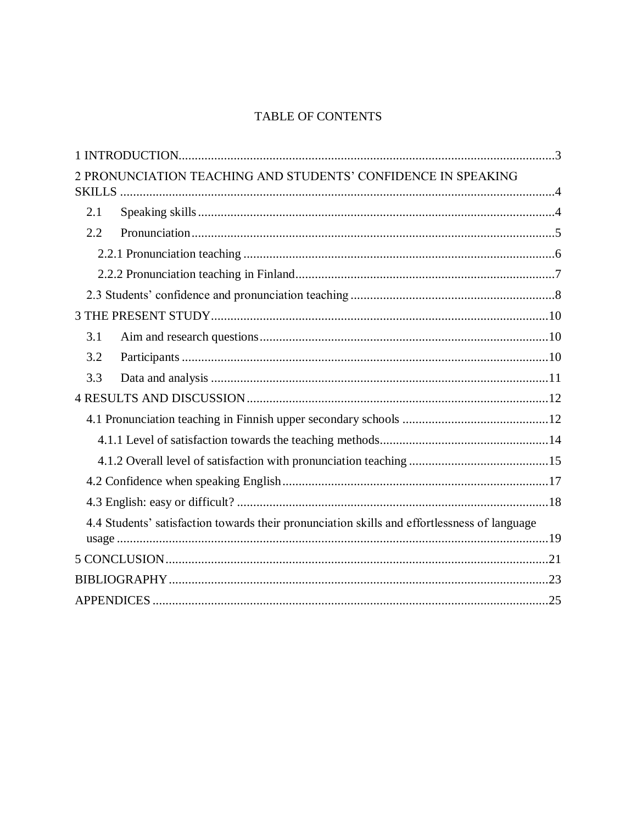# **TABLE OF CONTENTS**

| 2 PRONUNCIATION TEACHING AND STUDENTS' CONFIDENCE IN SPEAKING                                |  |
|----------------------------------------------------------------------------------------------|--|
| 2.1                                                                                          |  |
| 2.2                                                                                          |  |
|                                                                                              |  |
|                                                                                              |  |
|                                                                                              |  |
|                                                                                              |  |
| 3.1                                                                                          |  |
| 3.2                                                                                          |  |
| 3.3                                                                                          |  |
|                                                                                              |  |
|                                                                                              |  |
|                                                                                              |  |
|                                                                                              |  |
|                                                                                              |  |
|                                                                                              |  |
| 4.4 Students' satisfaction towards their pronunciation skills and effortlessness of language |  |
|                                                                                              |  |
|                                                                                              |  |
|                                                                                              |  |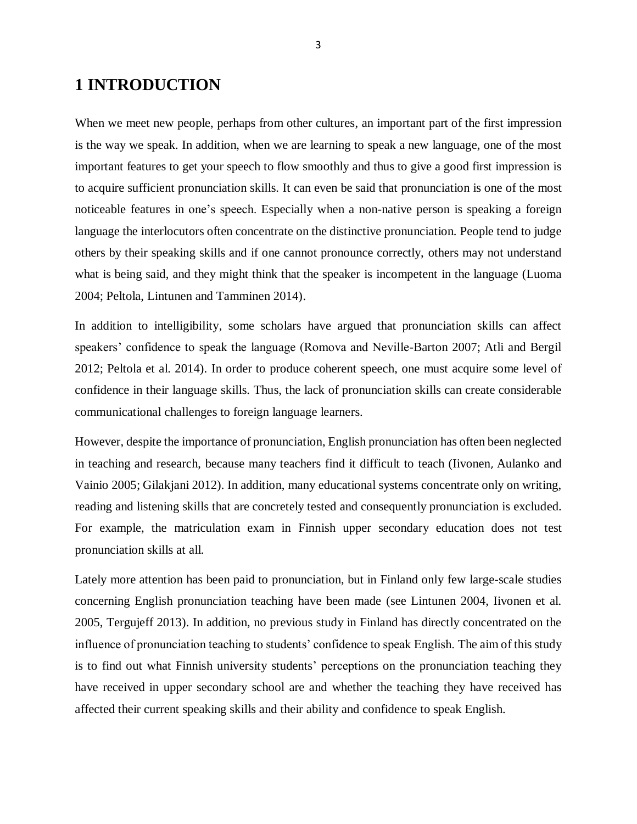# <span id="page-3-0"></span>**1 INTRODUCTION**

When we meet new people, perhaps from other cultures, an important part of the first impression is the way we speak. In addition, when we are learning to speak a new language, one of the most important features to get your speech to flow smoothly and thus to give a good first impression is to acquire sufficient pronunciation skills. It can even be said that pronunciation is one of the most noticeable features in one's speech. Especially when a non-native person is speaking a foreign language the interlocutors often concentrate on the distinctive pronunciation. People tend to judge others by their speaking skills and if one cannot pronounce correctly, others may not understand what is being said, and they might think that the speaker is incompetent in the language (Luoma 2004; Peltola, Lintunen and Tamminen 2014).

In addition to intelligibility, some scholars have argued that pronunciation skills can affect speakers' confidence to speak the language (Romova and Neville-Barton 2007; Atli and Bergil 2012; Peltola et al. 2014). In order to produce coherent speech, one must acquire some level of confidence in their language skills. Thus, the lack of pronunciation skills can create considerable communicational challenges to foreign language learners.

However, despite the importance of pronunciation, English pronunciation has often been neglected in teaching and research, because many teachers find it difficult to teach (Iivonen, Aulanko and Vainio 2005; Gilakjani 2012). In addition, many educational systems concentrate only on writing, reading and listening skills that are concretely tested and consequently pronunciation is excluded. For example, the matriculation exam in Finnish upper secondary education does not test pronunciation skills at all.

Lately more attention has been paid to pronunciation, but in Finland only few large-scale studies concerning English pronunciation teaching have been made (see Lintunen 2004, Iivonen et al. 2005, Tergujeff 2013). In addition, no previous study in Finland has directly concentrated on the influence of pronunciation teaching to students' confidence to speak English. The aim of this study is to find out what Finnish university students' perceptions on the pronunciation teaching they have received in upper secondary school are and whether the teaching they have received has affected their current speaking skills and their ability and confidence to speak English.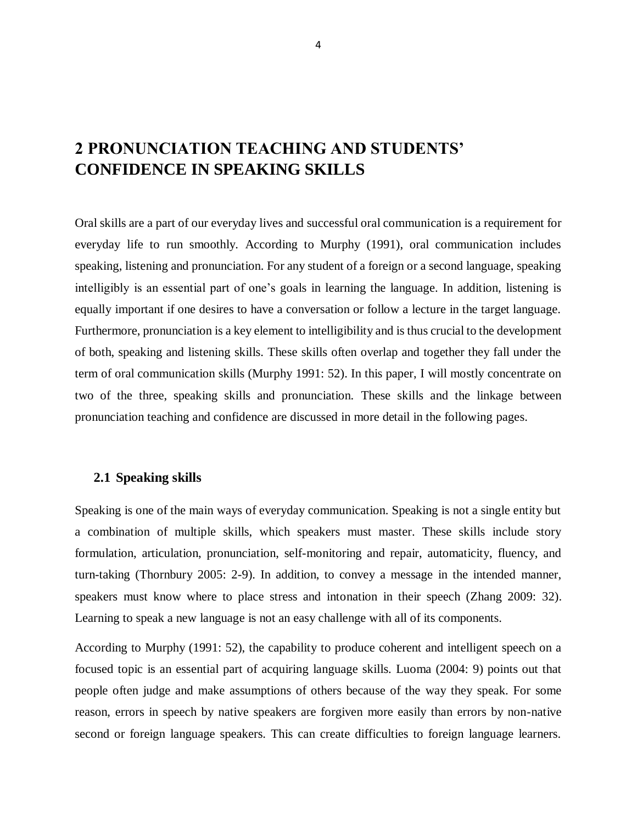# <span id="page-4-0"></span>**2 PRONUNCIATION TEACHING AND STUDENTS' CONFIDENCE IN SPEAKING SKILLS**

Oral skills are a part of our everyday lives and successful oral communication is a requirement for everyday life to run smoothly. According to Murphy (1991), oral communication includes speaking, listening and pronunciation. For any student of a foreign or a second language, speaking intelligibly is an essential part of one's goals in learning the language. In addition, listening is equally important if one desires to have a conversation or follow a lecture in the target language. Furthermore, pronunciation is a key element to intelligibility and is thus crucial to the development of both, speaking and listening skills. These skills often overlap and together they fall under the term of oral communication skills (Murphy 1991: 52). In this paper, I will mostly concentrate on two of the three, speaking skills and pronunciation. These skills and the linkage between pronunciation teaching and confidence are discussed in more detail in the following pages.

## <span id="page-4-1"></span>**2.1 Speaking skills**

Speaking is one of the main ways of everyday communication. Speaking is not a single entity but a combination of multiple skills, which speakers must master. These skills include story formulation, articulation, pronunciation, self-monitoring and repair, automaticity, fluency, and turn-taking (Thornbury 2005: 2-9). In addition, to convey a message in the intended manner, speakers must know where to place stress and intonation in their speech (Zhang 2009: 32). Learning to speak a new language is not an easy challenge with all of its components.

According to Murphy (1991: 52), the capability to produce coherent and intelligent speech on a focused topic is an essential part of acquiring language skills. Luoma (2004: 9) points out that people often judge and make assumptions of others because of the way they speak. For some reason, errors in speech by native speakers are forgiven more easily than errors by non-native second or foreign language speakers. This can create difficulties to foreign language learners.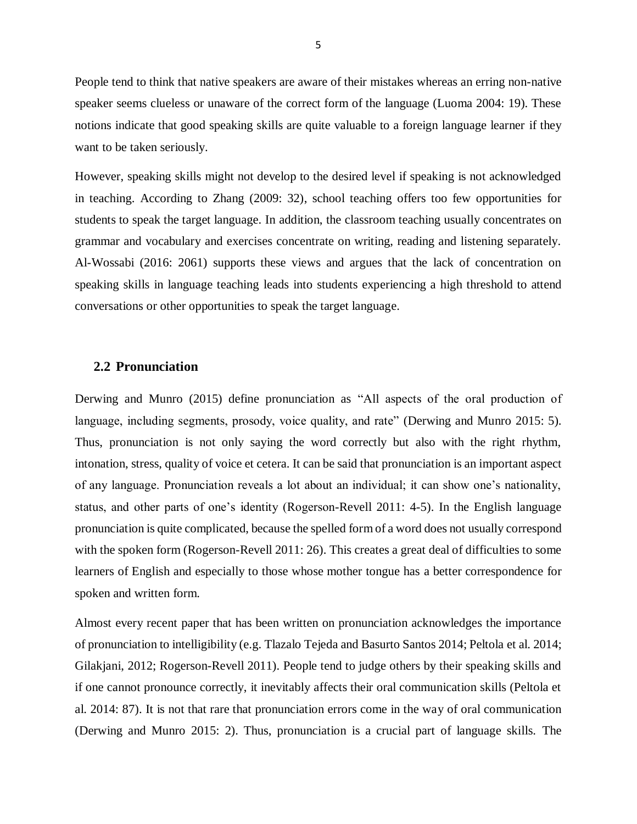People tend to think that native speakers are aware of their mistakes whereas an erring non-native speaker seems clueless or unaware of the correct form of the language (Luoma 2004: 19). These notions indicate that good speaking skills are quite valuable to a foreign language learner if they want to be taken seriously.

However, speaking skills might not develop to the desired level if speaking is not acknowledged in teaching. According to Zhang (2009: 32), school teaching offers too few opportunities for students to speak the target language. In addition, the classroom teaching usually concentrates on grammar and vocabulary and exercises concentrate on writing, reading and listening separately. Al-Wossabi (2016: 2061) supports these views and argues that the lack of concentration on speaking skills in language teaching leads into students experiencing a high threshold to attend conversations or other opportunities to speak the target language.

### <span id="page-5-0"></span>**2.2 Pronunciation**

Derwing and Munro (2015) define pronunciation as "All aspects of the oral production of language, including segments, prosody, voice quality, and rate" (Derwing and Munro 2015: 5). Thus, pronunciation is not only saying the word correctly but also with the right rhythm, intonation, stress, quality of voice et cetera. It can be said that pronunciation is an important aspect of any language. Pronunciation reveals a lot about an individual; it can show one's nationality, status, and other parts of one's identity (Rogerson-Revell 2011: 4-5). In the English language pronunciation is quite complicated, because the spelled form of a word does not usually correspond with the spoken form (Rogerson-Revell 2011: 26). This creates a great deal of difficulties to some learners of English and especially to those whose mother tongue has a better correspondence for spoken and written form.

Almost every recent paper that has been written on pronunciation acknowledges the importance of pronunciation to intelligibility (e.g. Tlazalo Tejeda and Basurto Santos 2014; Peltola et al. 2014; Gilakjani, 2012; Rogerson-Revell 2011). People tend to judge others by their speaking skills and if one cannot pronounce correctly, it inevitably affects their oral communication skills (Peltola et al. 2014: 87). It is not that rare that pronunciation errors come in the way of oral communication (Derwing and Munro 2015: 2). Thus, pronunciation is a crucial part of language skills. The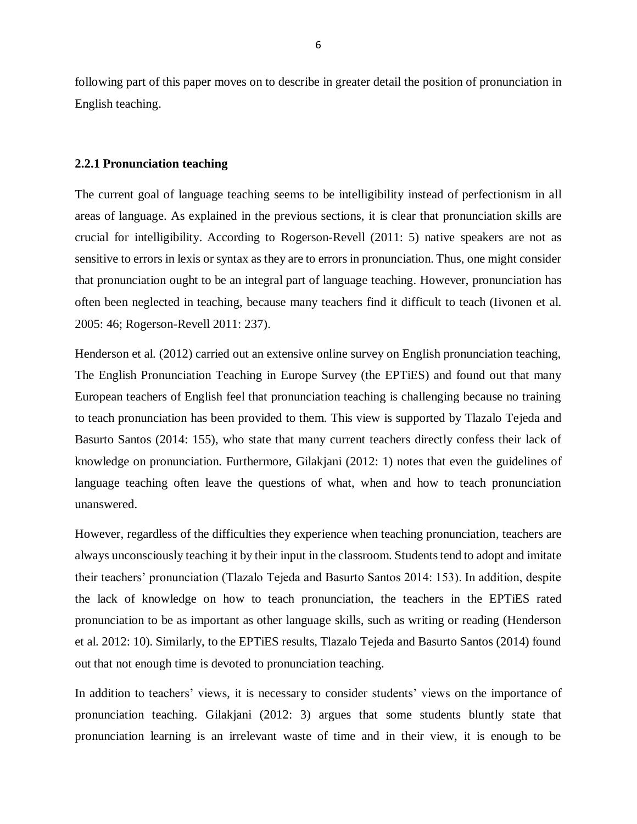following part of this paper moves on to describe in greater detail the position of pronunciation in English teaching.

#### <span id="page-6-0"></span>**2.2.1 Pronunciation teaching**

The current goal of language teaching seems to be intelligibility instead of perfectionism in all areas of language. As explained in the previous sections, it is clear that pronunciation skills are crucial for intelligibility. According to Rogerson-Revell (2011: 5) native speakers are not as sensitive to errors in lexis or syntax as they are to errors in pronunciation. Thus, one might consider that pronunciation ought to be an integral part of language teaching. However, pronunciation has often been neglected in teaching, because many teachers find it difficult to teach (Iivonen et al. 2005: 46; Rogerson-Revell 2011: 237).

Henderson et al. (2012) carried out an extensive online survey on English pronunciation teaching, The English Pronunciation Teaching in Europe Survey (the EPTiES) and found out that many European teachers of English feel that pronunciation teaching is challenging because no training to teach pronunciation has been provided to them. This view is supported by Tlazalo Tejeda and Basurto Santos (2014: 155), who state that many current teachers directly confess their lack of knowledge on pronunciation. Furthermore, Gilakjani (2012: 1) notes that even the guidelines of language teaching often leave the questions of what, when and how to teach pronunciation unanswered.

However, regardless of the difficulties they experience when teaching pronunciation, teachers are always unconsciously teaching it by their input in the classroom. Students tend to adopt and imitate their teachers' pronunciation (Tlazalo Tejeda and Basurto Santos 2014: 153). In addition, despite the lack of knowledge on how to teach pronunciation, the teachers in the EPTiES rated pronunciation to be as important as other language skills, such as writing or reading (Henderson et al. 2012: 10). Similarly, to the EPTiES results, Tlazalo Tejeda and Basurto Santos (2014) found out that not enough time is devoted to pronunciation teaching.

In addition to teachers' views, it is necessary to consider students' views on the importance of pronunciation teaching. Gilakjani (2012: 3) argues that some students bluntly state that pronunciation learning is an irrelevant waste of time and in their view, it is enough to be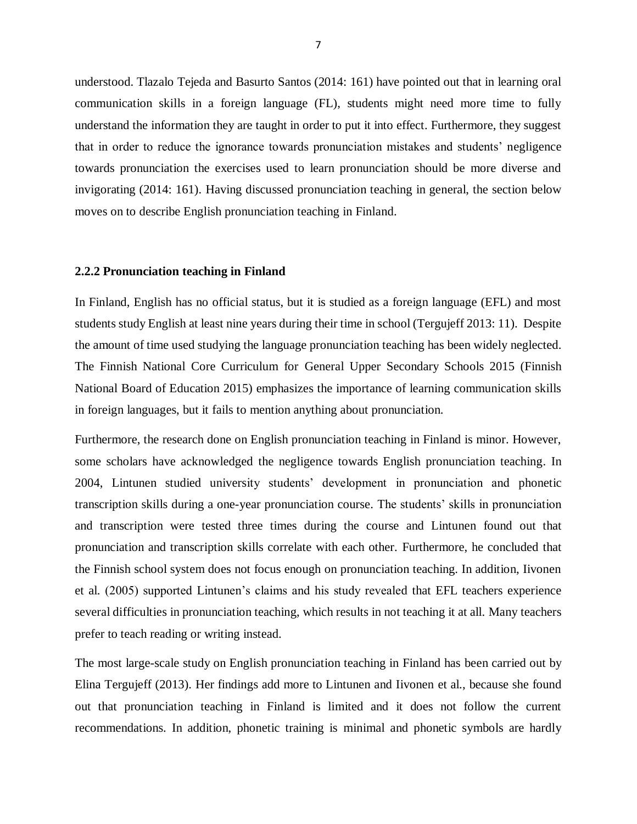understood. Tlazalo Tejeda and Basurto Santos (2014: 161) have pointed out that in learning oral communication skills in a foreign language (FL), students might need more time to fully understand the information they are taught in order to put it into effect. Furthermore, they suggest that in order to reduce the ignorance towards pronunciation mistakes and students' negligence towards pronunciation the exercises used to learn pronunciation should be more diverse and invigorating (2014: 161). Having discussed pronunciation teaching in general, the section below moves on to describe English pronunciation teaching in Finland.

#### <span id="page-7-0"></span>**2.2.2 Pronunciation teaching in Finland**

In Finland, English has no official status, but it is studied as a foreign language (EFL) and most students study English at least nine years during their time in school (Tergujeff 2013: 11). Despite the amount of time used studying the language pronunciation teaching has been widely neglected. The Finnish National Core Curriculum for General Upper Secondary Schools 2015 (Finnish National Board of Education 2015) emphasizes the importance of learning communication skills in foreign languages, but it fails to mention anything about pronunciation.

Furthermore, the research done on English pronunciation teaching in Finland is minor. However, some scholars have acknowledged the negligence towards English pronunciation teaching. In 2004, Lintunen studied university students' development in pronunciation and phonetic transcription skills during a one-year pronunciation course. The students' skills in pronunciation and transcription were tested three times during the course and Lintunen found out that pronunciation and transcription skills correlate with each other. Furthermore, he concluded that the Finnish school system does not focus enough on pronunciation teaching. In addition, Iivonen et al. (2005) supported Lintunen's claims and his study revealed that EFL teachers experience several difficulties in pronunciation teaching, which results in not teaching it at all. Many teachers prefer to teach reading or writing instead.

The most large-scale study on English pronunciation teaching in Finland has been carried out by Elina Tergujeff (2013). Her findings add more to Lintunen and Iivonen et al., because she found out that pronunciation teaching in Finland is limited and it does not follow the current recommendations. In addition, phonetic training is minimal and phonetic symbols are hardly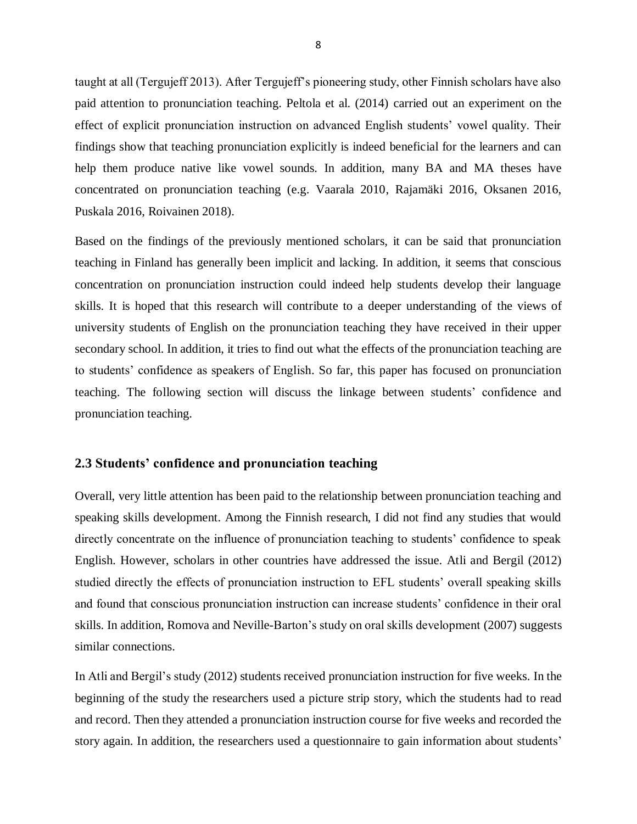taught at all (Tergujeff 2013). After Tergujeff's pioneering study, other Finnish scholars have also paid attention to pronunciation teaching. Peltola et al. (2014) carried out an experiment on the effect of explicit pronunciation instruction on advanced English students' vowel quality. Their findings show that teaching pronunciation explicitly is indeed beneficial for the learners and can help them produce native like vowel sounds. In addition, many BA and MA theses have concentrated on pronunciation teaching (e.g. Vaarala 2010, Rajamäki 2016, Oksanen 2016, Puskala 2016, Roivainen 2018).

Based on the findings of the previously mentioned scholars, it can be said that pronunciation teaching in Finland has generally been implicit and lacking. In addition, it seems that conscious concentration on pronunciation instruction could indeed help students develop their language skills. It is hoped that this research will contribute to a deeper understanding of the views of university students of English on the pronunciation teaching they have received in their upper secondary school. In addition, it tries to find out what the effects of the pronunciation teaching are to students' confidence as speakers of English. So far, this paper has focused on pronunciation teaching. The following section will discuss the linkage between students' confidence and pronunciation teaching.

## <span id="page-8-0"></span>**2.3 Students' confidence and pronunciation teaching**

Overall, very little attention has been paid to the relationship between pronunciation teaching and speaking skills development. Among the Finnish research, I did not find any studies that would directly concentrate on the influence of pronunciation teaching to students' confidence to speak English. However, scholars in other countries have addressed the issue. Atli and Bergil (2012) studied directly the effects of pronunciation instruction to EFL students' overall speaking skills and found that conscious pronunciation instruction can increase students' confidence in their oral skills. In addition, Romova and Neville-Barton's study on oral skills development (2007) suggests similar connections.

In Atli and Bergil's study (2012) students received pronunciation instruction for five weeks. In the beginning of the study the researchers used a picture strip story, which the students had to read and record. Then they attended a pronunciation instruction course for five weeks and recorded the story again. In addition, the researchers used a questionnaire to gain information about students'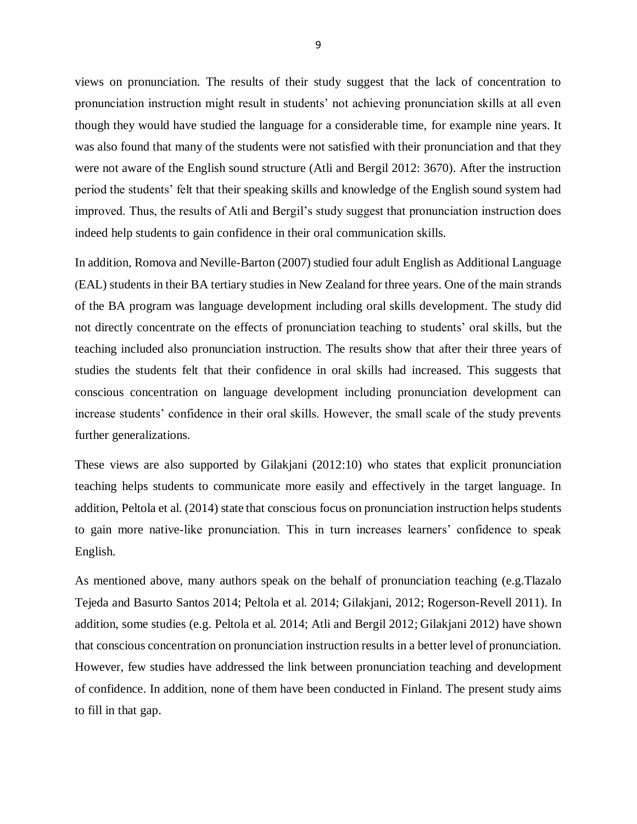views on pronunciation. The results of their study suggest that the lack of concentration to pronunciation instruction might result in students' not achieving pronunciation skills at all even though they would have studied the language for a considerable time, for example nine years. It was also found that many of the students were not satisfied with their pronunciation and that they were not aware of the English sound structure (Atli and Bergil 2012: 3670). After the instruction period the students' felt that their speaking skills and knowledge of the English sound system had improved. Thus, the results of Atli and Bergil's study suggest that pronunciation instruction does indeed help students to gain confidence in their oral communication skills.

In addition, Romova and Neville-Barton (2007) studied four adult English as Additional Language (EAL) students in their BA tertiary studies in New Zealand for three years. One of the main strands of the BA program was language development including oral skills development. The study did not directly concentrate on the effects of pronunciation teaching to students' oral skills, but the teaching included also pronunciation instruction. The results show that after their three years of studies the students felt that their confidence in oral skills had increased. This suggests that conscious concentration on language development including pronunciation development can increase students' confidence in their oral skills. However, the small scale of the study prevents further generalizations.

These views are also supported by Gilakjani (2012:10) who states that explicit pronunciation teaching helps students to communicate more easily and effectively in the target language. In addition, Peltola et al. (2014) state that conscious focus on pronunciation instruction helps students to gain more native-like pronunciation. This in turn increases learners' confidence to speak English.

As mentioned above, many authors speak on the behalf of pronunciation teaching (e.g.Tlazalo Tejeda and Basurto Santos 2014; Peltola et al. 2014; Gilakjani, 2012; Rogerson-Revell 2011). In addition, some studies (e.g. Peltola et al. 2014; Atli and Bergil 2012; Gilakjani 2012) have shown that conscious concentration on pronunciation instruction results in a better level of pronunciation. However, few studies have addressed the link between pronunciation teaching and development of confidence. In addition, none of them have been conducted in Finland. The present study aims to fill in that gap.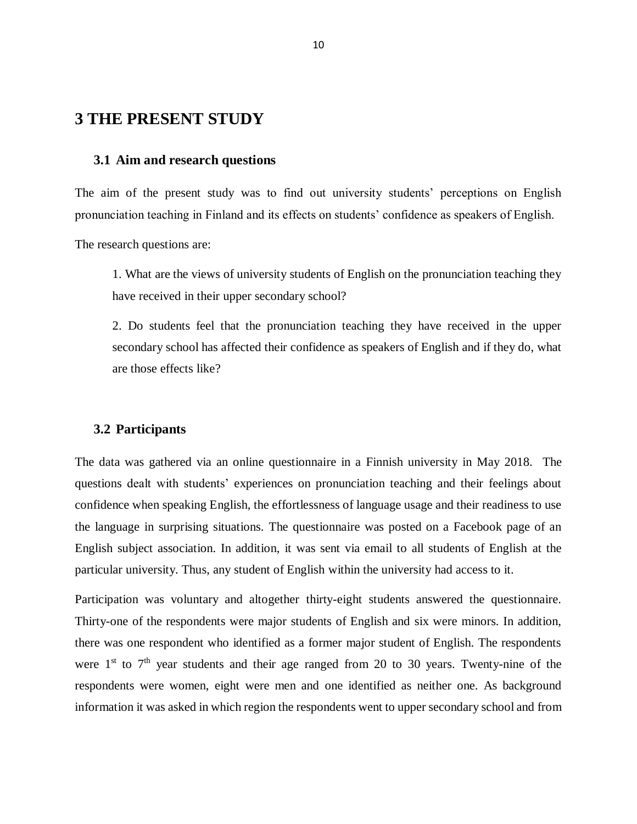# <span id="page-10-0"></span>**3 THE PRESENT STUDY**

### <span id="page-10-1"></span>**3.1 Aim and research questions**

The aim of the present study was to find out university students' perceptions on English pronunciation teaching in Finland and its effects on students' confidence as speakers of English.

The research questions are:

1. What are the views of university students of English on the pronunciation teaching they have received in their upper secondary school?

2. Do students feel that the pronunciation teaching they have received in the upper secondary school has affected their confidence as speakers of English and if they do, what are those effects like?

### <span id="page-10-2"></span>**3.2 Participants**

The data was gathered via an online questionnaire in a Finnish university in May 2018. The questions dealt with students' experiences on pronunciation teaching and their feelings about confidence when speaking English, the effortlessness of language usage and their readiness to use the language in surprising situations. The questionnaire was posted on a Facebook page of an English subject association. In addition, it was sent via email to all students of English at the particular university. Thus, any student of English within the university had access to it.

Participation was voluntary and altogether thirty-eight students answered the questionnaire. Thirty-one of the respondents were major students of English and six were minors. In addition, there was one respondent who identified as a former major student of English. The respondents were  $1<sup>st</sup>$  to  $7<sup>th</sup>$  year students and their age ranged from 20 to 30 years. Twenty-nine of the respondents were women, eight were men and one identified as neither one. As background information it was asked in which region the respondents went to upper secondary school and from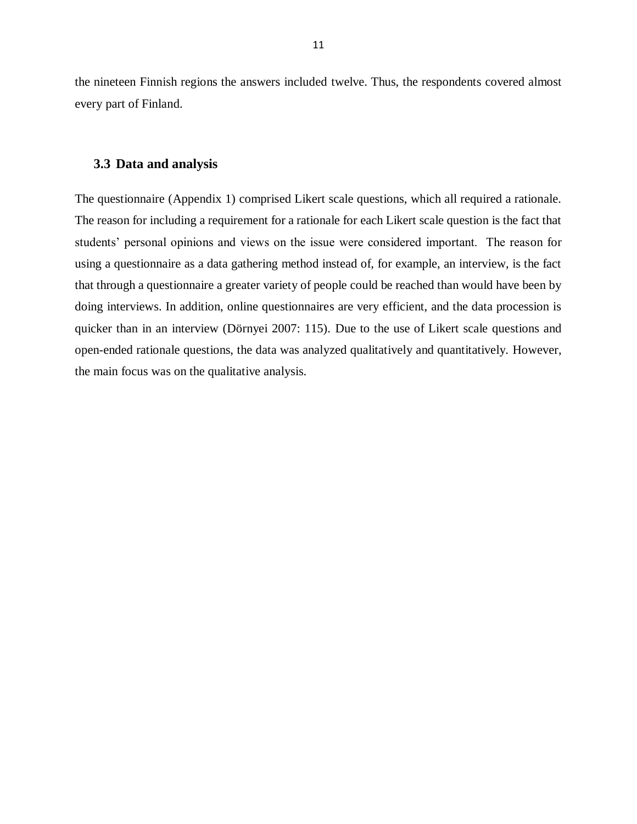the nineteen Finnish regions the answers included twelve. Thus, the respondents covered almost every part of Finland.

#### <span id="page-11-0"></span>**3.3 Data and analysis**

The questionnaire (Appendix 1) comprised Likert scale questions, which all required a rationale. The reason for including a requirement for a rationale for each Likert scale question is the fact that students' personal opinions and views on the issue were considered important. The reason for using a questionnaire as a data gathering method instead of, for example, an interview, is the fact that through a questionnaire a greater variety of people could be reached than would have been by doing interviews. In addition, online questionnaires are very efficient, and the data procession is quicker than in an interview (Dörnyei 2007: 115). Due to the use of Likert scale questions and open-ended rationale questions, the data was analyzed qualitatively and quantitatively. However, the main focus was on the qualitative analysis.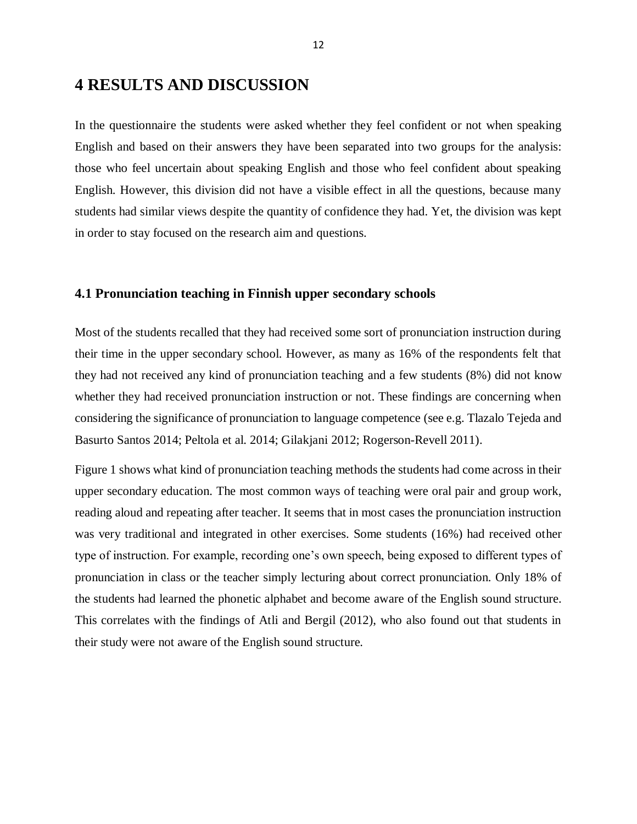# <span id="page-12-0"></span>**4 RESULTS AND DISCUSSION**

In the questionnaire the students were asked whether they feel confident or not when speaking English and based on their answers they have been separated into two groups for the analysis: those who feel uncertain about speaking English and those who feel confident about speaking English. However, this division did not have a visible effect in all the questions, because many students had similar views despite the quantity of confidence they had. Yet, the division was kept in order to stay focused on the research aim and questions.

### <span id="page-12-1"></span>**4.1 Pronunciation teaching in Finnish upper secondary schools**

Most of the students recalled that they had received some sort of pronunciation instruction during their time in the upper secondary school. However, as many as 16% of the respondents felt that they had not received any kind of pronunciation teaching and a few students (8%) did not know whether they had received pronunciation instruction or not. These findings are concerning when considering the significance of pronunciation to language competence (see e.g. Tlazalo Tejeda and Basurto Santos 2014; Peltola et al. 2014; Gilakjani 2012; Rogerson-Revell 2011).

Figure 1 shows what kind of pronunciation teaching methods the students had come across in their upper secondary education. The most common ways of teaching were oral pair and group work, reading aloud and repeating after teacher. It seems that in most cases the pronunciation instruction was very traditional and integrated in other exercises. Some students (16%) had received other type of instruction. For example, recording one's own speech, being exposed to different types of pronunciation in class or the teacher simply lecturing about correct pronunciation. Only 18% of the students had learned the phonetic alphabet and become aware of the English sound structure. This correlates with the findings of Atli and Bergil (2012), who also found out that students in their study were not aware of the English sound structure.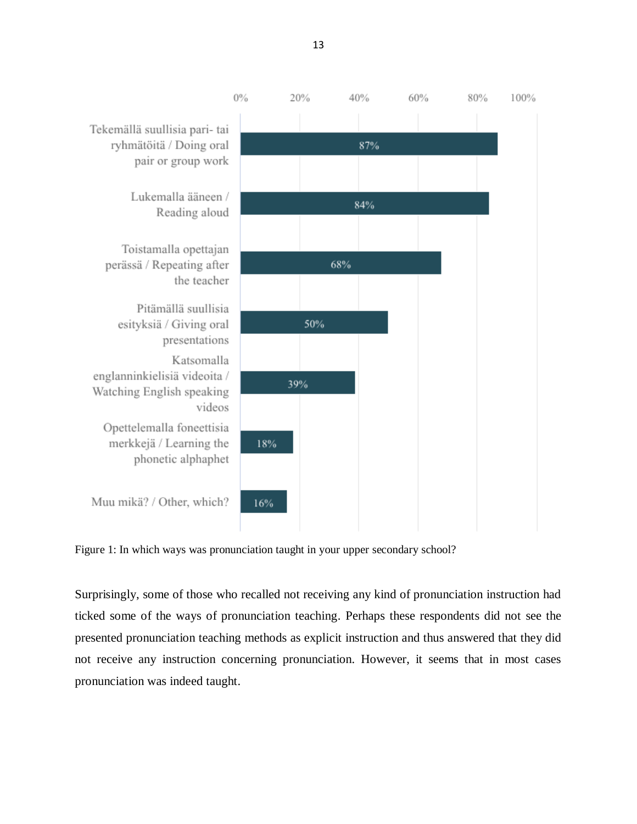

Figure 1: In which ways was pronunciation taught in your upper secondary school?

Surprisingly, some of those who recalled not receiving any kind of pronunciation instruction had ticked some of the ways of pronunciation teaching. Perhaps these respondents did not see the presented pronunciation teaching methods as explicit instruction and thus answered that they did not receive any instruction concerning pronunciation. However, it seems that in most cases pronunciation was indeed taught.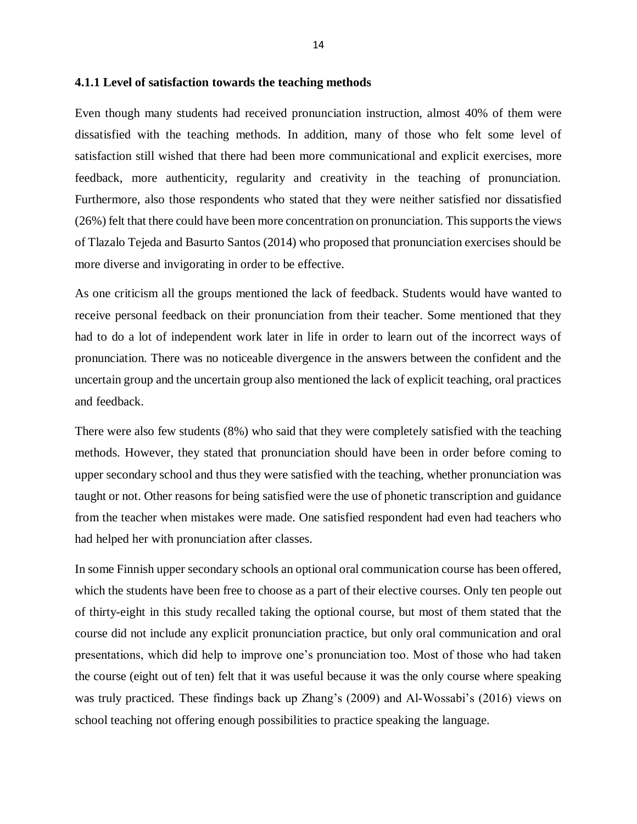#### <span id="page-14-0"></span>**4.1.1 Level of satisfaction towards the teaching methods**

Even though many students had received pronunciation instruction, almost 40% of them were dissatisfied with the teaching methods. In addition, many of those who felt some level of satisfaction still wished that there had been more communicational and explicit exercises, more feedback, more authenticity, regularity and creativity in the teaching of pronunciation. Furthermore, also those respondents who stated that they were neither satisfied nor dissatisfied (26%) felt that there could have been more concentration on pronunciation. This supports the views of Tlazalo Tejeda and Basurto Santos (2014) who proposed that pronunciation exercises should be more diverse and invigorating in order to be effective.

As one criticism all the groups mentioned the lack of feedback. Students would have wanted to receive personal feedback on their pronunciation from their teacher. Some mentioned that they had to do a lot of independent work later in life in order to learn out of the incorrect ways of pronunciation. There was no noticeable divergence in the answers between the confident and the uncertain group and the uncertain group also mentioned the lack of explicit teaching, oral practices and feedback.

There were also few students (8%) who said that they were completely satisfied with the teaching methods. However, they stated that pronunciation should have been in order before coming to upper secondary school and thus they were satisfied with the teaching, whether pronunciation was taught or not. Other reasons for being satisfied were the use of phonetic transcription and guidance from the teacher when mistakes were made. One satisfied respondent had even had teachers who had helped her with pronunciation after classes.

In some Finnish upper secondary schools an optional oral communication course has been offered, which the students have been free to choose as a part of their elective courses. Only ten people out of thirty-eight in this study recalled taking the optional course, but most of them stated that the course did not include any explicit pronunciation practice, but only oral communication and oral presentations, which did help to improve one's pronunciation too. Most of those who had taken the course (eight out of ten) felt that it was useful because it was the only course where speaking was truly practiced. These findings back up Zhang's (2009) and Al-Wossabi's (2016) views on school teaching not offering enough possibilities to practice speaking the language.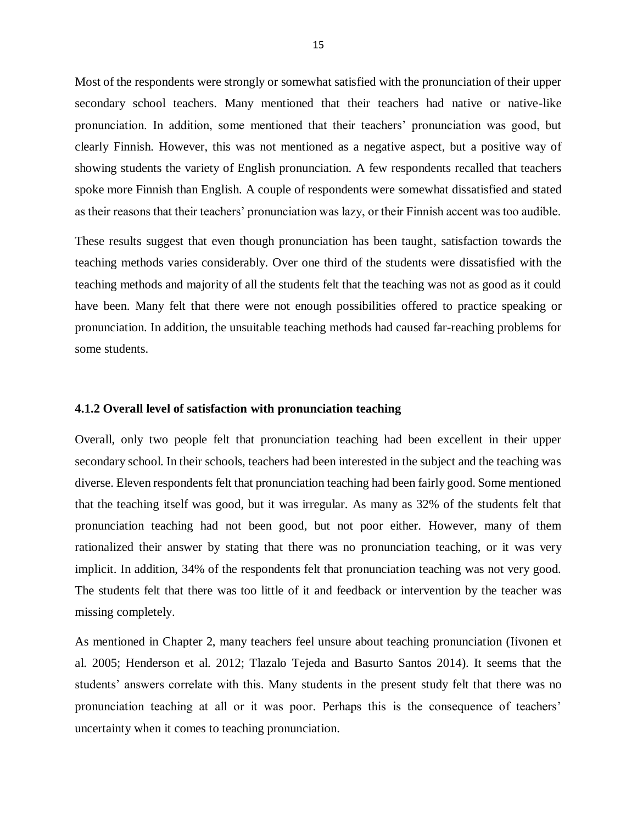Most of the respondents were strongly or somewhat satisfied with the pronunciation of their upper secondary school teachers. Many mentioned that their teachers had native or native-like pronunciation. In addition, some mentioned that their teachers' pronunciation was good, but clearly Finnish. However, this was not mentioned as a negative aspect, but a positive way of showing students the variety of English pronunciation. A few respondents recalled that teachers spoke more Finnish than English. A couple of respondents were somewhat dissatisfied and stated as their reasons that their teachers' pronunciation was lazy, or their Finnish accent was too audible.

These results suggest that even though pronunciation has been taught, satisfaction towards the teaching methods varies considerably. Over one third of the students were dissatisfied with the teaching methods and majority of all the students felt that the teaching was not as good as it could have been. Many felt that there were not enough possibilities offered to practice speaking or pronunciation. In addition, the unsuitable teaching methods had caused far-reaching problems for some students.

### <span id="page-15-0"></span>**4.1.2 Overall level of satisfaction with pronunciation teaching**

Overall, only two people felt that pronunciation teaching had been excellent in their upper secondary school. In their schools, teachers had been interested in the subject and the teaching was diverse. Eleven respondents felt that pronunciation teaching had been fairly good. Some mentioned that the teaching itself was good, but it was irregular. As many as 32% of the students felt that pronunciation teaching had not been good, but not poor either. However, many of them rationalized their answer by stating that there was no pronunciation teaching, or it was very implicit. In addition, 34% of the respondents felt that pronunciation teaching was not very good. The students felt that there was too little of it and feedback or intervention by the teacher was missing completely.

As mentioned in Chapter 2, many teachers feel unsure about teaching pronunciation (Iivonen et al. 2005; Henderson et al. 2012; Tlazalo Tejeda and Basurto Santos 2014). It seems that the students' answers correlate with this. Many students in the present study felt that there was no pronunciation teaching at all or it was poor. Perhaps this is the consequence of teachers' uncertainty when it comes to teaching pronunciation.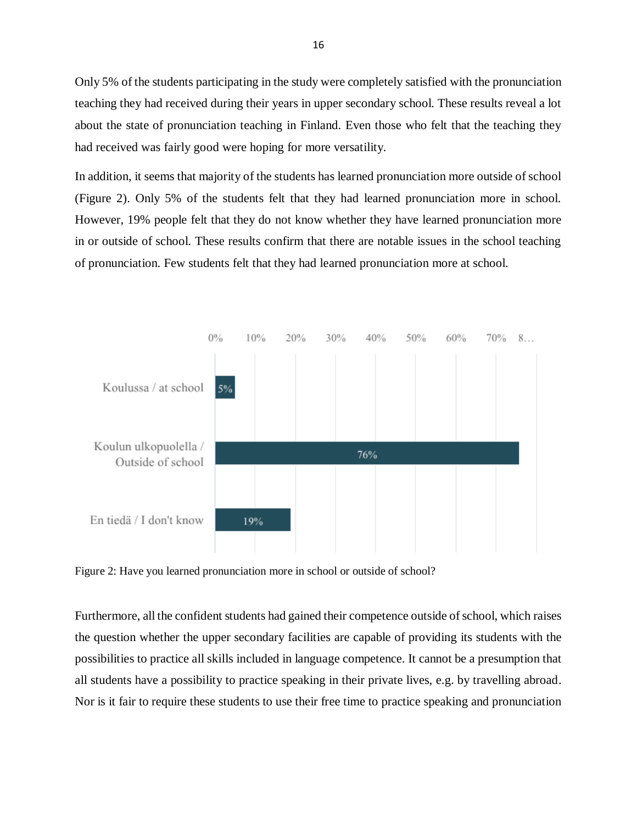Only 5% of the students participating in the study were completely satisfied with the pronunciation teaching they had received during their years in upper secondary school. These results reveal a lot about the state of pronunciation teaching in Finland. Even those who felt that the teaching they had received was fairly good were hoping for more versatility.

In addition, it seems that majority of the students has learned pronunciation more outside of school (Figure 2). Only 5% of the students felt that they had learned pronunciation more in school. However, 19% people felt that they do not know whether they have learned pronunciation more in or outside of school. These results confirm that there are notable issues in the school teaching of pronunciation. Few students felt that they had learned pronunciation more at school.



Figure 2: Have you learned pronunciation more in school or outside of school?

Furthermore, all the confident students had gained their competence outside of school, which raises the question whether the upper secondary facilities are capable of providing its students with the possibilities to practice all skills included in language competence. It cannot be a presumption that all students have a possibility to practice speaking in their private lives, e.g. by travelling abroad. Nor is it fair to require these students to use their free time to practice speaking and pronunciation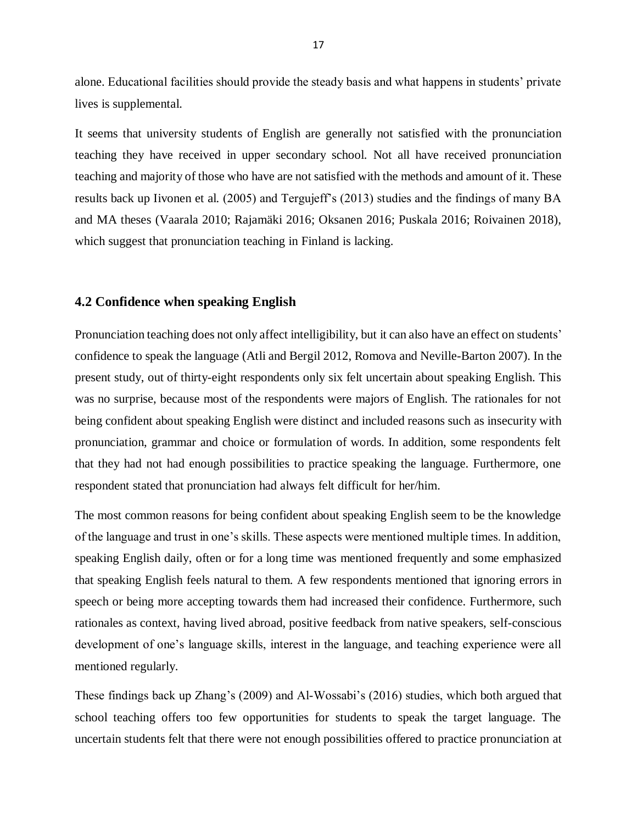alone. Educational facilities should provide the steady basis and what happens in students' private lives is supplemental.

It seems that university students of English are generally not satisfied with the pronunciation teaching they have received in upper secondary school. Not all have received pronunciation teaching and majority of those who have are not satisfied with the methods and amount of it. These results back up Iivonen et al. (2005) and Tergujeff's (2013) studies and the findings of many BA and MA theses (Vaarala 2010; Rajamäki 2016; Oksanen 2016; Puskala 2016; Roivainen 2018), which suggest that pronunciation teaching in Finland is lacking.

### <span id="page-17-0"></span>**4.2 Confidence when speaking English**

Pronunciation teaching does not only affect intelligibility, but it can also have an effect on students' confidence to speak the language (Atli and Bergil 2012, Romova and Neville-Barton 2007). In the present study, out of thirty-eight respondents only six felt uncertain about speaking English. This was no surprise, because most of the respondents were majors of English. The rationales for not being confident about speaking English were distinct and included reasons such as insecurity with pronunciation, grammar and choice or formulation of words. In addition, some respondents felt that they had not had enough possibilities to practice speaking the language. Furthermore, one respondent stated that pronunciation had always felt difficult for her/him.

The most common reasons for being confident about speaking English seem to be the knowledge of the language and trust in one's skills. These aspects were mentioned multiple times. In addition, speaking English daily, often or for a long time was mentioned frequently and some emphasized that speaking English feels natural to them. A few respondents mentioned that ignoring errors in speech or being more accepting towards them had increased their confidence. Furthermore, such rationales as context, having lived abroad, positive feedback from native speakers, self-conscious development of one's language skills, interest in the language, and teaching experience were all mentioned regularly.

These findings back up Zhang's (2009) and Al-Wossabi's (2016) studies, which both argued that school teaching offers too few opportunities for students to speak the target language. The uncertain students felt that there were not enough possibilities offered to practice pronunciation at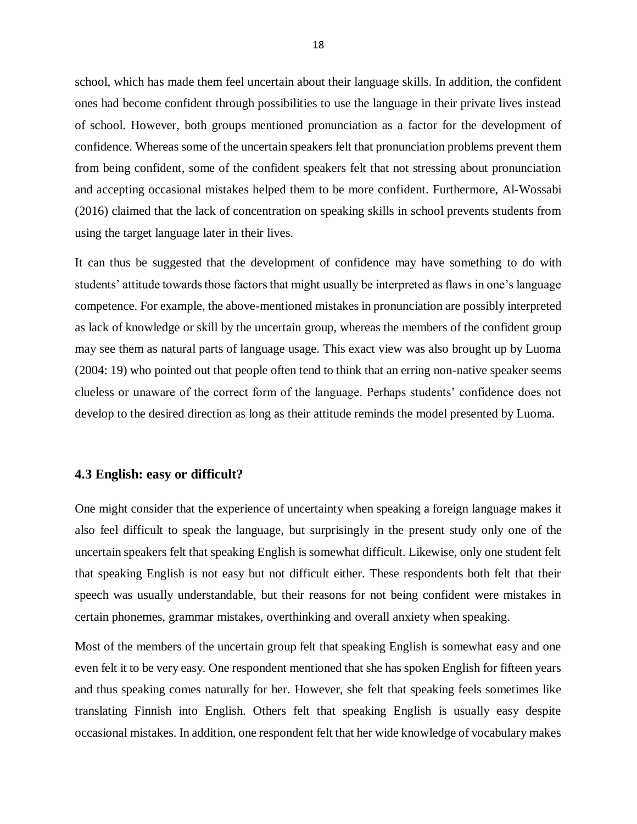school, which has made them feel uncertain about their language skills. In addition, the confident ones had become confident through possibilities to use the language in their private lives instead of school. However, both groups mentioned pronunciation as a factor for the development of confidence. Whereas some of the uncertain speakers felt that pronunciation problems prevent them from being confident, some of the confident speakers felt that not stressing about pronunciation and accepting occasional mistakes helped them to be more confident. Furthermore, Al-Wossabi (2016) claimed that the lack of concentration on speaking skills in school prevents students from using the target language later in their lives.

It can thus be suggested that the development of confidence may have something to do with students' attitude towards those factors that might usually be interpreted as flaws in one's language competence. For example, the above-mentioned mistakes in pronunciation are possibly interpreted as lack of knowledge or skill by the uncertain group, whereas the members of the confident group may see them as natural parts of language usage. This exact view was also brought up by Luoma (2004: 19) who pointed out that people often tend to think that an erring non-native speaker seems clueless or unaware of the correct form of the language. Perhaps students' confidence does not develop to the desired direction as long as their attitude reminds the model presented by Luoma.

### <span id="page-18-0"></span>**4.3 English: easy or difficult?**

One might consider that the experience of uncertainty when speaking a foreign language makes it also feel difficult to speak the language, but surprisingly in the present study only one of the uncertain speakers felt that speaking English is somewhat difficult. Likewise, only one student felt that speaking English is not easy but not difficult either. These respondents both felt that their speech was usually understandable, but their reasons for not being confident were mistakes in certain phonemes, grammar mistakes, overthinking and overall anxiety when speaking.

Most of the members of the uncertain group felt that speaking English is somewhat easy and one even felt it to be very easy. One respondent mentioned that she has spoken English for fifteen years and thus speaking comes naturally for her. However, she felt that speaking feels sometimes like translating Finnish into English. Others felt that speaking English is usually easy despite occasional mistakes. In addition, one respondent felt that her wide knowledge of vocabulary makes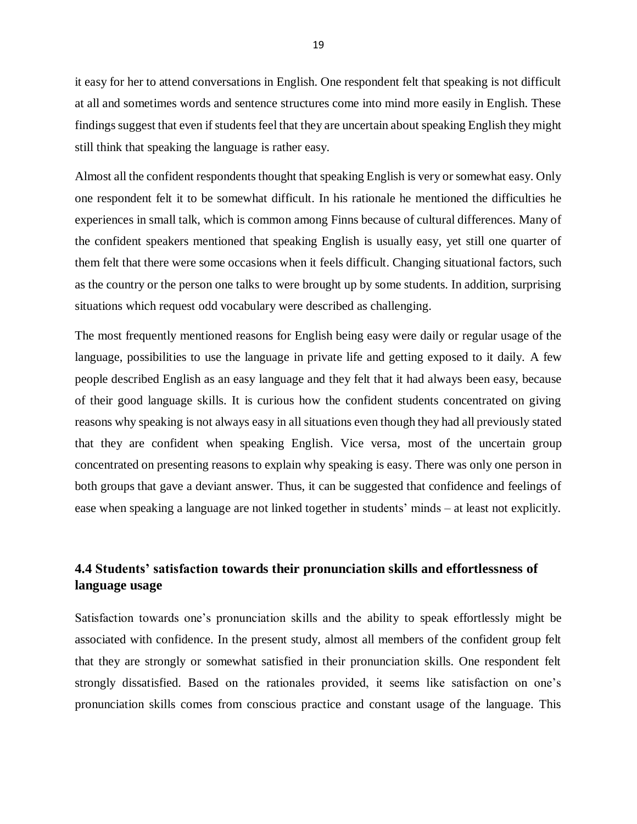it easy for her to attend conversations in English. One respondent felt that speaking is not difficult at all and sometimes words and sentence structures come into mind more easily in English. These findings suggest that even if students feel that they are uncertain about speaking English they might still think that speaking the language is rather easy.

Almost all the confident respondents thought that speaking English is very or somewhat easy. Only one respondent felt it to be somewhat difficult. In his rationale he mentioned the difficulties he experiences in small talk, which is common among Finns because of cultural differences. Many of the confident speakers mentioned that speaking English is usually easy, yet still one quarter of them felt that there were some occasions when it feels difficult. Changing situational factors, such as the country or the person one talks to were brought up by some students. In addition, surprising situations which request odd vocabulary were described as challenging.

The most frequently mentioned reasons for English being easy were daily or regular usage of the language, possibilities to use the language in private life and getting exposed to it daily. A few people described English as an easy language and they felt that it had always been easy, because of their good language skills. It is curious how the confident students concentrated on giving reasons why speaking is not always easy in all situations even though they had all previously stated that they are confident when speaking English. Vice versa, most of the uncertain group concentrated on presenting reasons to explain why speaking is easy. There was only one person in both groups that gave a deviant answer. Thus, it can be suggested that confidence and feelings of ease when speaking a language are not linked together in students' minds – at least not explicitly.

# <span id="page-19-0"></span>**4.4 Students' satisfaction towards their pronunciation skills and effortlessness of language usage**

Satisfaction towards one's pronunciation skills and the ability to speak effortlessly might be associated with confidence. In the present study, almost all members of the confident group felt that they are strongly or somewhat satisfied in their pronunciation skills. One respondent felt strongly dissatisfied. Based on the rationales provided, it seems like satisfaction on one's pronunciation skills comes from conscious practice and constant usage of the language. This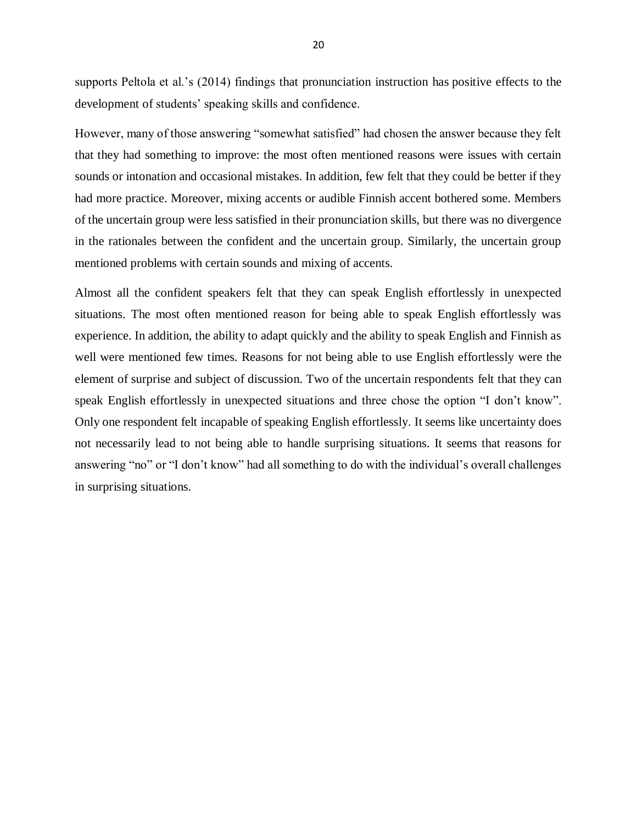supports Peltola et al.'s (2014) findings that pronunciation instruction has positive effects to the development of students' speaking skills and confidence.

However, many of those answering "somewhat satisfied" had chosen the answer because they felt that they had something to improve: the most often mentioned reasons were issues with certain sounds or intonation and occasional mistakes. In addition, few felt that they could be better if they had more practice. Moreover, mixing accents or audible Finnish accent bothered some. Members of the uncertain group were less satisfied in their pronunciation skills, but there was no divergence in the rationales between the confident and the uncertain group. Similarly, the uncertain group mentioned problems with certain sounds and mixing of accents.

Almost all the confident speakers felt that they can speak English effortlessly in unexpected situations. The most often mentioned reason for being able to speak English effortlessly was experience. In addition, the ability to adapt quickly and the ability to speak English and Finnish as well were mentioned few times. Reasons for not being able to use English effortlessly were the element of surprise and subject of discussion. Two of the uncertain respondents felt that they can speak English effortlessly in unexpected situations and three chose the option "I don't know". Only one respondent felt incapable of speaking English effortlessly. It seems like uncertainty does not necessarily lead to not being able to handle surprising situations. It seems that reasons for answering "no" or "I don't know" had all something to do with the individual's overall challenges in surprising situations.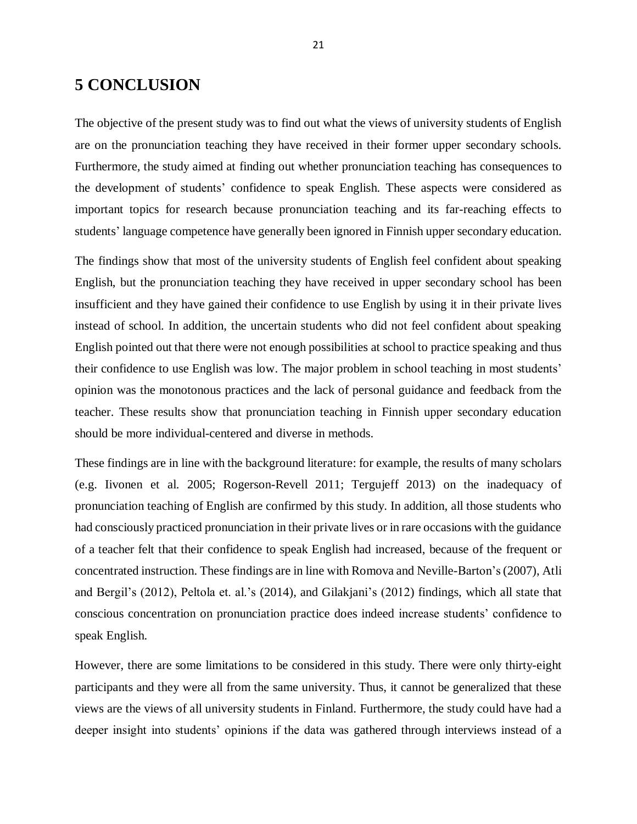# <span id="page-21-0"></span>**5 CONCLUSION**

The objective of the present study was to find out what the views of university students of English are on the pronunciation teaching they have received in their former upper secondary schools. Furthermore, the study aimed at finding out whether pronunciation teaching has consequences to the development of students' confidence to speak English. These aspects were considered as important topics for research because pronunciation teaching and its far-reaching effects to students' language competence have generally been ignored in Finnish upper secondary education.

The findings show that most of the university students of English feel confident about speaking English, but the pronunciation teaching they have received in upper secondary school has been insufficient and they have gained their confidence to use English by using it in their private lives instead of school. In addition, the uncertain students who did not feel confident about speaking English pointed out that there were not enough possibilities at school to practice speaking and thus their confidence to use English was low. The major problem in school teaching in most students' opinion was the monotonous practices and the lack of personal guidance and feedback from the teacher. These results show that pronunciation teaching in Finnish upper secondary education should be more individual-centered and diverse in methods.

These findings are in line with the background literature: for example, the results of many scholars (e.g. Iivonen et al. 2005; Rogerson-Revell 2011; Tergujeff 2013) on the inadequacy of pronunciation teaching of English are confirmed by this study. In addition, all those students who had consciously practiced pronunciation in their private lives or in rare occasions with the guidance of a teacher felt that their confidence to speak English had increased, because of the frequent or concentrated instruction. These findings are in line with Romova and Neville-Barton's(2007), Atli and Bergil's (2012), Peltola et. al.'s (2014), and Gilakjani's (2012) findings, which all state that conscious concentration on pronunciation practice does indeed increase students' confidence to speak English.

However, there are some limitations to be considered in this study. There were only thirty-eight participants and they were all from the same university. Thus, it cannot be generalized that these views are the views of all university students in Finland. Furthermore, the study could have had a deeper insight into students' opinions if the data was gathered through interviews instead of a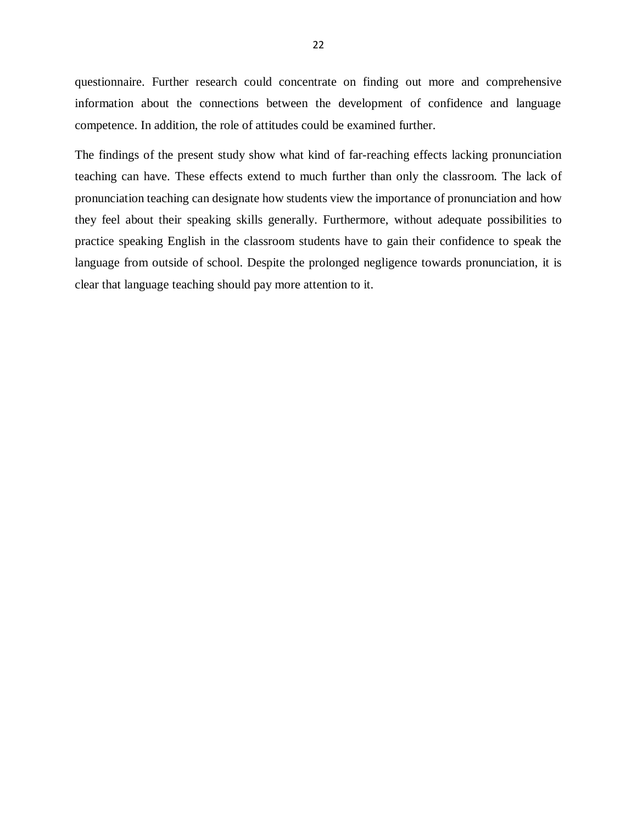questionnaire. Further research could concentrate on finding out more and comprehensive information about the connections between the development of confidence and language competence. In addition, the role of attitudes could be examined further.

The findings of the present study show what kind of far-reaching effects lacking pronunciation teaching can have. These effects extend to much further than only the classroom. The lack of pronunciation teaching can designate how students view the importance of pronunciation and how they feel about their speaking skills generally. Furthermore, without adequate possibilities to practice speaking English in the classroom students have to gain their confidence to speak the language from outside of school. Despite the prolonged negligence towards pronunciation, it is clear that language teaching should pay more attention to it.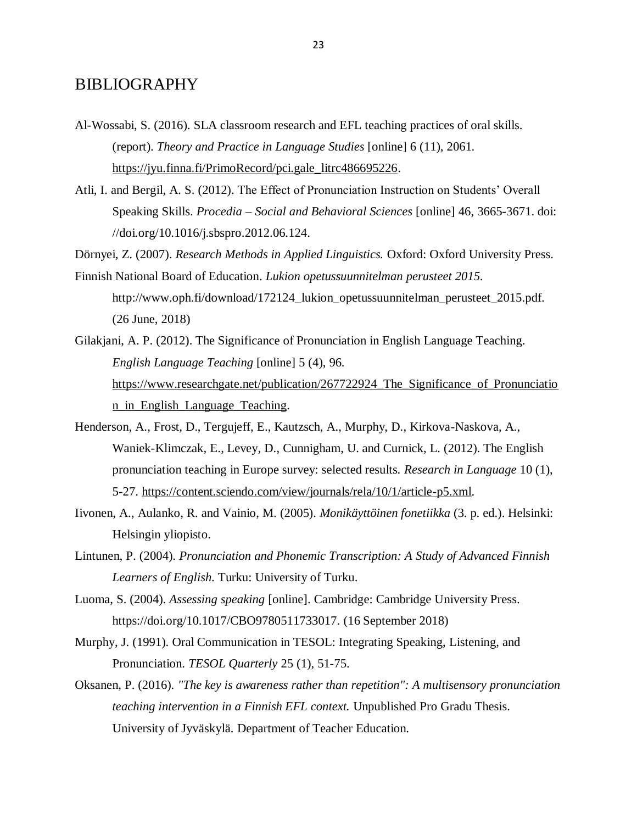## <span id="page-23-0"></span>BIBLIOGRAPHY

- Al-Wossabi, S. (2016). SLA classroom research and EFL teaching practices of oral skills. (report). *Theory and Practice in Language Studies* [online] 6 (11), 2061. [https://jyu.finna.fi/PrimoRecord/pci.gale\\_litrc486695226.](https://jyu.finna.fi/PrimoRecord/pci.gale_litrc486695226)
- Atli, I. and Bergil, A. S. (2012). The Effect of Pronunciation Instruction on Students' Overall Speaking Skills. *Procedia – Social and Behavioral Sciences* [online] 46, 3665-3671. doi: //doi.org/10.1016/j.sbspro.2012.06.124.

Dörnyei, Z. (2007). *Research Methods in Applied Linguistics.* Oxford: Oxford University Press.

- Finnish National Board of Education. *Lukion opetussuunnitelman perusteet 2015.* http://www.oph.fi/download/172124\_lukion\_opetussuunnitelman\_perusteet\_2015.pdf. (26 June, 2018)
- Gilakjani, A. P. (2012). The Significance of Pronunciation in English Language Teaching. *English Language Teaching* [online] 5 (4), 96. https://www.researchgate.net/publication/267722924 The Significance of Pronunciatio [n\\_in\\_English\\_Language\\_Teaching.](https://www.researchgate.net/publication/267722924_The_Significance_of_Pronunciation_in_English_Language_Teaching)
- Henderson, A., Frost, D., Tergujeff, E., Kautzsch, A., Murphy, D., Kirkova-Naskova, A., Waniek-Klimczak, E., Levey, D., Cunnigham, U. and Curnick, L. (2012). The English pronunciation teaching in Europe survey: selected results. *Research in Language* 10 (1), 5-27. [https://content.sciendo.com/view/journals/rela/10/1/article-p5.xml.](https://content.sciendo.com/view/journals/rela/10/1/article-p5.xml)
- Iivonen, A., Aulanko, R. and Vainio, M. (2005). *Monikäyttöinen fonetiikka* (3. p. ed.). Helsinki: Helsingin yliopisto.
- Lintunen, P. (2004). *Pronunciation and Phonemic Transcription: A Study of Advanced Finnish Learners of English.* Turku: University of Turku.
- Luoma, S. (2004). *Assessing speaking* [online]. Cambridge: Cambridge University Press. https://doi.org/10.1017/CBO9780511733017. (16 September 2018)
- Murphy, J. (1991). Oral Communication in TESOL: Integrating Speaking, Listening, and Pronunciation. *TESOL Quarterly* 25 (1), 51-75.
- Oksanen, P. (2016). *"The key is awareness rather than repetition": A multisensory pronunciation teaching intervention in a Finnish EFL context.* Unpublished Pro Gradu Thesis. University of Jyväskylä. Department of Teacher Education.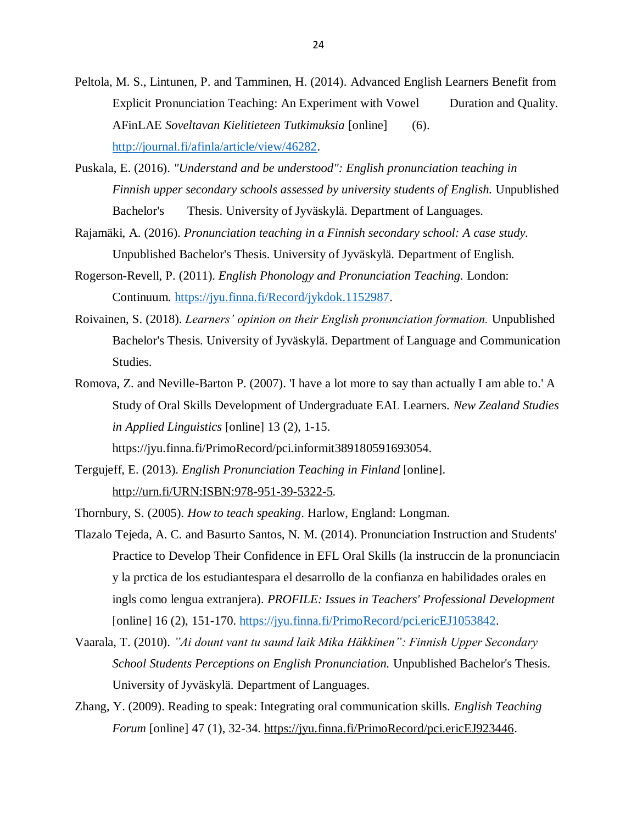- Peltola, M. S., Lintunen, P. and Tamminen, H. (2014). Advanced English Learners Benefit from Explicit Pronunciation Teaching: An Experiment with Vowel Duration and Quality. AFinLAE *Soveltavan Kielitieteen Tutkimuksia* [online] (6). [http://journal.fi/afinla/article/view/46282.](http://journal.fi/afinla/article/view/46282)
- Puskala, E. (2016). *"Understand and be understood": English pronunciation teaching in Finnish upper secondary schools assessed by university students of English.* Unpublished Bachelor's Thesis. University of Jyväskylä. Department of Languages.
- Rajamäki, A. (2016). *Pronunciation teaching in a Finnish secondary school: A case study.* Unpublished Bachelor's Thesis. University of Jyväskylä. Department of English.
- Rogerson-Revell, P. (2011). *English Phonology and Pronunciation Teaching.* London: Continuum. [https://jyu.finna.fi/Record/jykdok.1152987.](https://jyu.finna.fi/Record/jykdok.1152987)
- Roivainen, S. (2018). *Learners' opinion on their English pronunciation formation.* Unpublished Bachelor's Thesis. University of Jyväskylä. Department of Language and Communication Studies.
- Romova, Z. and Neville-Barton P. (2007). 'I have a lot more to say than actually I am able to.' A Study of Oral Skills Development of Undergraduate EAL Learners. *New Zealand Studies in Applied Linguistics* [online] 13 (2), 1-15.

https://jyu.finna.fi/PrimoRecord/pci.informit389180591693054.

Tergujeff, E. (2013). *English Pronunciation Teaching in Finland* [online]. [http://urn.fi/URN:ISBN:978-951-39-5322-5.](http://urn.fi/URN:ISBN:978-951-39-5322-5)

Thornbury, S. (2005). *How to teach speaking*. Harlow, England: Longman.

- Tlazalo Tejeda, A. C. and Basurto Santos, N. M. (2014). Pronunciation Instruction and Students' Practice to Develop Their Confidence in EFL Oral Skills (la instruccin de la pronunciacin y la prctica de los estudiantespara el desarrollo de la confianza en habilidades orales en ingls como lengua extranjera). *PROFILE: Issues in Teachers' Professional Development* [online] 16 (2), 151-170. [https://jyu.finna.fi/PrimoRecord/pci.ericEJ1053842.](https://jyu.finna.fi/PrimoRecord/pci.ericEJ1053842)
- Vaarala, T. (2010). *"Ai dount vant tu saund laik Mika Häkkinen": Finnish Upper Secondary School Students Perceptions on English Pronunciation.* Unpublished Bachelor's Thesis. University of Jyväskylä. Department of Languages.
- Zhang, Y. (2009). Reading to speak: Integrating oral communication skills. *English Teaching Forum* [online] 47 (1), 32-34. [https://jyu.finna.fi/PrimoRecord/pci.ericEJ923446.](https://jyu.finna.fi/PrimoRecord/pci.ericEJ923446)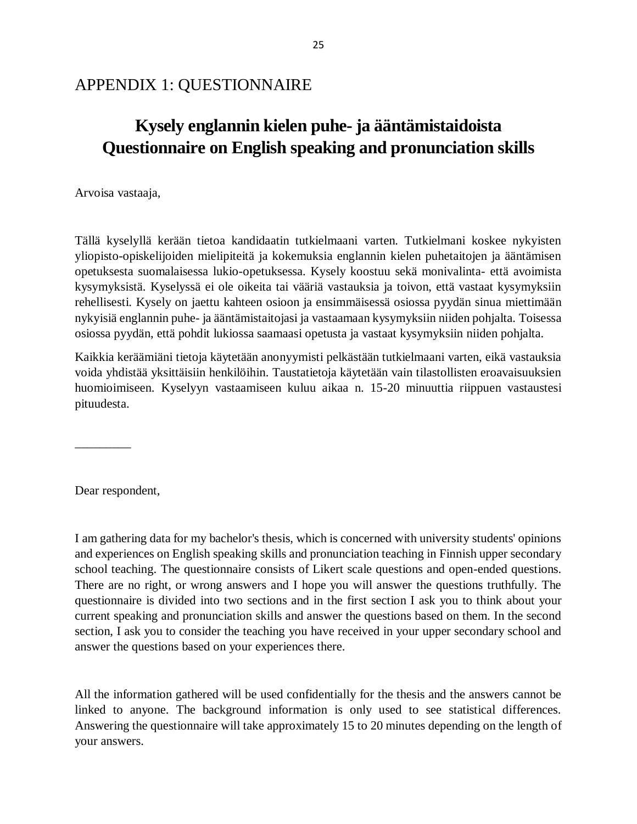# <span id="page-25-0"></span>APPENDIX 1: QUESTIONNAIRE

# **Kysely englannin kielen puhe- ja ääntämistaidoista Questionnaire on English speaking and pronunciation skills**

Arvoisa vastaaja,

Tällä kyselyllä kerään tietoa kandidaatin tutkielmaani varten. Tutkielmani koskee nykyisten yliopisto-opiskelijoiden mielipiteitä ja kokemuksia englannin kielen puhetaitojen ja ääntämisen opetuksesta suomalaisessa lukio-opetuksessa. Kysely koostuu sekä monivalinta- että avoimista kysymyksistä. Kyselyssä ei ole oikeita tai vääriä vastauksia ja toivon, että vastaat kysymyksiin rehellisesti. Kysely on jaettu kahteen osioon ja ensimmäisessä osiossa pyydän sinua miettimään nykyisiä englannin puhe- ja ääntämistaitojasi ja vastaamaan kysymyksiin niiden pohjalta. Toisessa osiossa pyydän, että pohdit lukiossa saamaasi opetusta ja vastaat kysymyksiin niiden pohjalta.

Kaikkia keräämiäni tietoja käytetään anonyymisti pelkästään tutkielmaani varten, eikä vastauksia voida yhdistää yksittäisiin henkilöihin. Taustatietoja käytetään vain tilastollisten eroavaisuuksien huomioimiseen. Kyselyyn vastaamiseen kuluu aikaa n. 15-20 minuuttia riippuen vastaustesi pituudesta.

\_\_\_\_\_\_\_\_\_

Dear respondent,

I am gathering data for my bachelor's thesis, which is concerned with university students' opinions and experiences on English speaking skills and pronunciation teaching in Finnish upper secondary school teaching. The questionnaire consists of Likert scale questions and open-ended questions. There are no right, or wrong answers and I hope you will answer the questions truthfully. The questionnaire is divided into two sections and in the first section I ask you to think about your current speaking and pronunciation skills and answer the questions based on them. In the second section, I ask you to consider the teaching you have received in your upper secondary school and answer the questions based on your experiences there.

All the information gathered will be used confidentially for the thesis and the answers cannot be linked to anyone. The background information is only used to see statistical differences. Answering the questionnaire will take approximately 15 to 20 minutes depending on the length of your answers.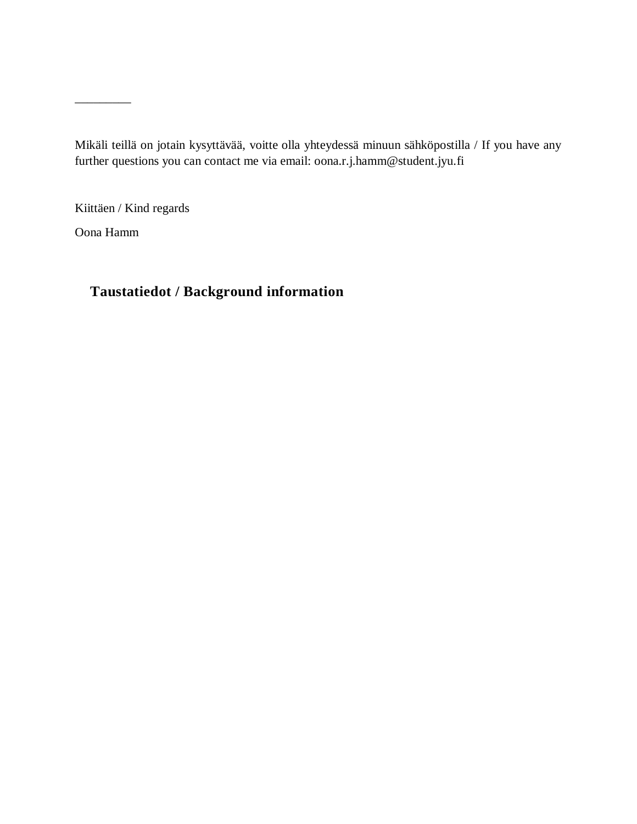Mikäli teillä on jotain kysyttävää, voitte olla yhteydessä minuun sähköpostilla / If you have any further questions you can contact me via email: oona.r.j.hamm@student.jyu.fi

Kiittäen / Kind regards

Oona Hamm

 $\overline{\phantom{a}}$ 

# **Taustatiedot / Background information**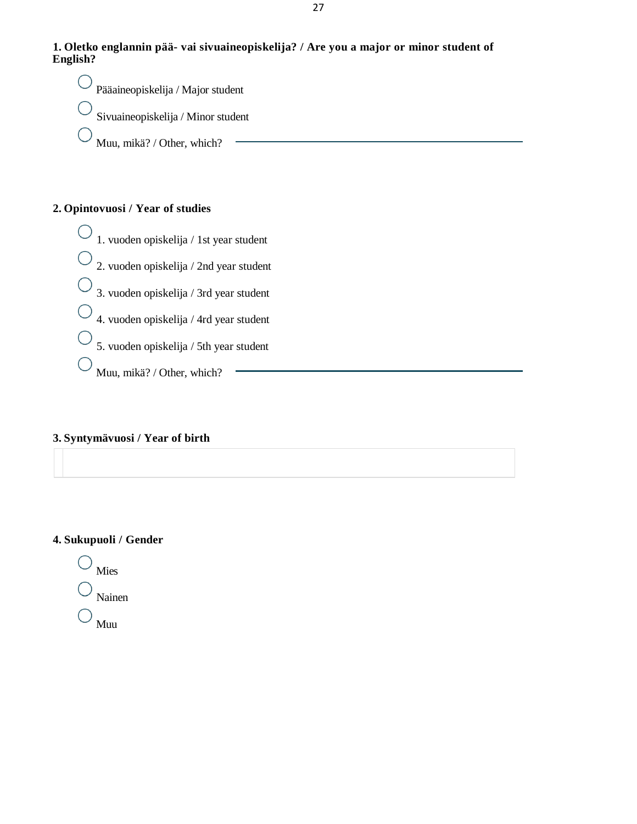

Pääaineopiskelija / Major student Sivuaineopiskelija / Minor student Muu, mikä? / Other, which?

## **2. Opintovuosi / Year of studies**

 $\bigcirc$ 1. vuoden opiskelija / 1st year student 2. vuoden opiskelija / 2nd year student 3. vuoden opiskelija / 3rd year student 4. vuoden opiskelija / 4rd year student 5. vuoden opiskelija / 5th year student Muu, mikä? / Other, which?

### **3. Syntymävuosi / Year of birth**

### **4. Sukupuoli / Gender**

Mies Nainen Muu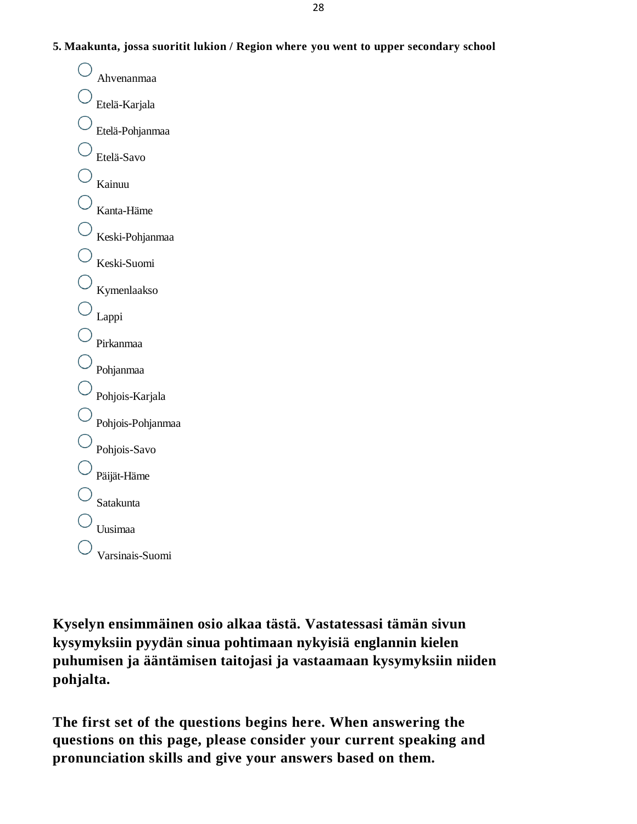**5. Maakunta, jossa suoritit lukion / Region where you went to upper secondary school**

Ahvenanmaa Etelä-Karjala Etelä-Pohjanmaa Etelä-Savo Kainuu Kanta-Häme Keski-Pohjanmaa Keski-Suomi Kymenlaakso Lappi Pirkanmaa Pohjanmaa Pohjois-Karjala Pohjois-Pohjanmaa Pohjois-Savo Päijät-Häme Satakunta Uusimaa Varsinais-Suomi

**Kyselyn ensimmäinen osio alkaa tästä. Vastatessasi tämän sivun kysymyksiin pyydän sinua pohtimaan nykyisiä englannin kielen puhumisen ja ääntämisen taitojasi ja vastaamaan kysymyksiin niiden pohjalta.**

**The first set of the questions begins here. When answering the questions on this page, please consider your current speaking and pronunciation skills and give your answers based on them.**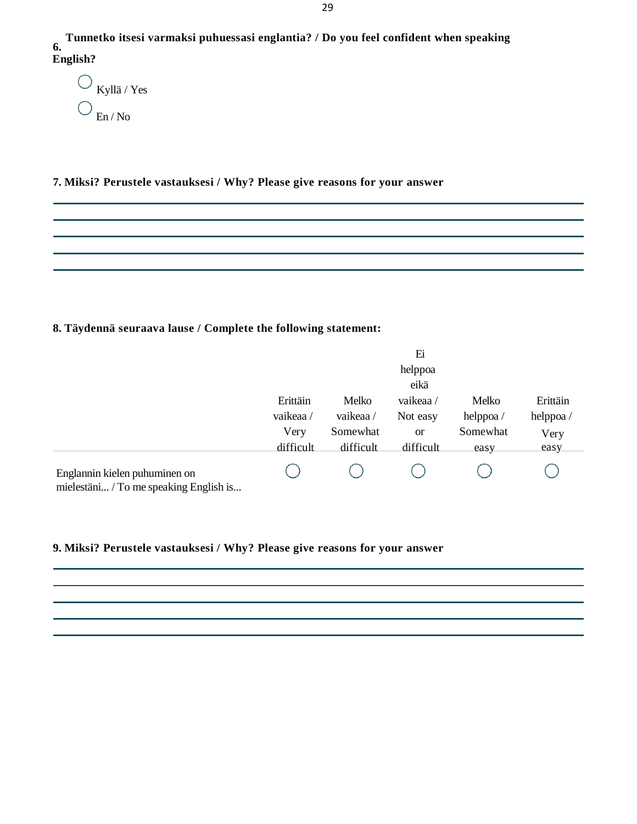**6. English? Tunnetko itsesi varmaksi puhuessasi englantia? / Do you feel confident when speaking**

 $\bigcirc$  Kyllä / Yes En / No

### **7. Miksi? Perustele vastauksesi / Why? Please give reasons for your answer**

# **8. Täydennä seuraava lause / Complete the following statement:**

|                                                                         |                                           |                                            | Ei<br>helppoa<br>eikä                          |                                       |                                      |
|-------------------------------------------------------------------------|-------------------------------------------|--------------------------------------------|------------------------------------------------|---------------------------------------|--------------------------------------|
|                                                                         | Erittäin<br>vaikeaa/<br>Very<br>difficult | Melko<br>vaikeaa/<br>Somewhat<br>difficult | vaikeaa/<br>Not easy<br><b>or</b><br>difficult | Melko<br>helppoa/<br>Somewhat<br>easy | Erittäin<br>helppoa/<br>Very<br>easy |
| Englannin kielen puhuminen on<br>mielestäni / To me speaking English is |                                           |                                            |                                                |                                       |                                      |

## **9. Miksi? Perustele vastauksesi / Why? Please give reasons for your answer**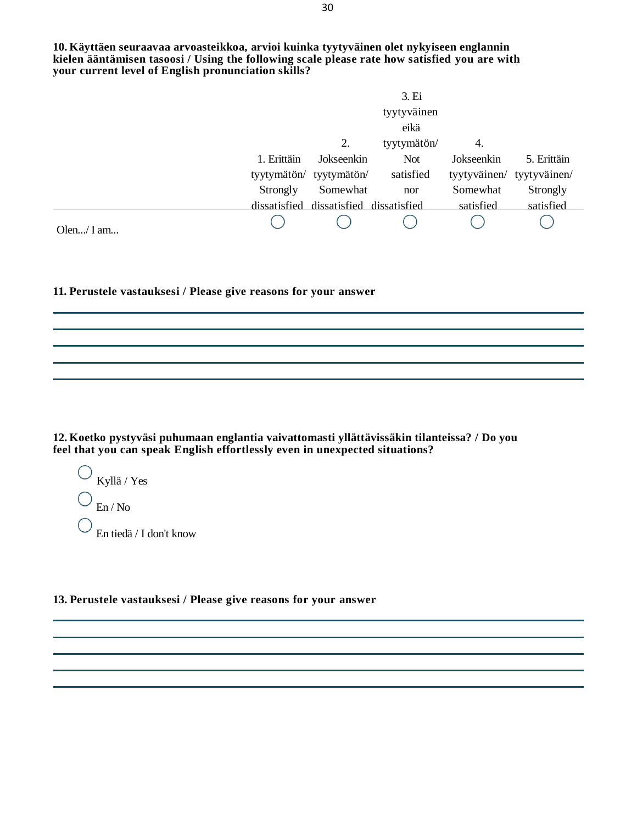**10. Käyttäen seuraavaa arvoasteikkoa, arvioi kuinka tyytyväinen olet nykyiseen englannin kielen ääntämisen tasoosi / Using the following scale please rate how satisfied you are with your current level of English pronunciation skills?**

|               |             |                                        | 3. Ei       |            |                           |
|---------------|-------------|----------------------------------------|-------------|------------|---------------------------|
|               |             |                                        | tyytyväinen |            |                           |
|               |             |                                        | eikä        |            |                           |
|               |             | 2.                                     | tyytymätön/ | 4.         |                           |
|               | 1. Erittäin | Jokseenkin                             | <b>Not</b>  | Jokseenkin | 5. Erittäin               |
|               |             | tyytymätön/ tyytymätön/                | satisfied   |            | tyytyväinen/ tyytyväinen/ |
|               | Strongly    | Somewhat                               | nor         | Somewhat   | Strongly                  |
|               |             | dissatisfied dissatisfied dissatisfied |             | satisfied  | satisfied                 |
| Olen $/$ I am |             |                                        |             |            |                           |

**11. Perustele vastauksesi / Please give reasons for your answer**

**12. Koetko pystyväsi puhumaan englantia vaivattomasti yllättävissäkin tilanteissa? / Do you feel that you can speak English effortlessly even in unexpected situations?**

 $\bigcirc$  Kyllä / Yes En / No En tiedä / I don't know

**13. Perustele vastauksesi / Please give reasons for your answer**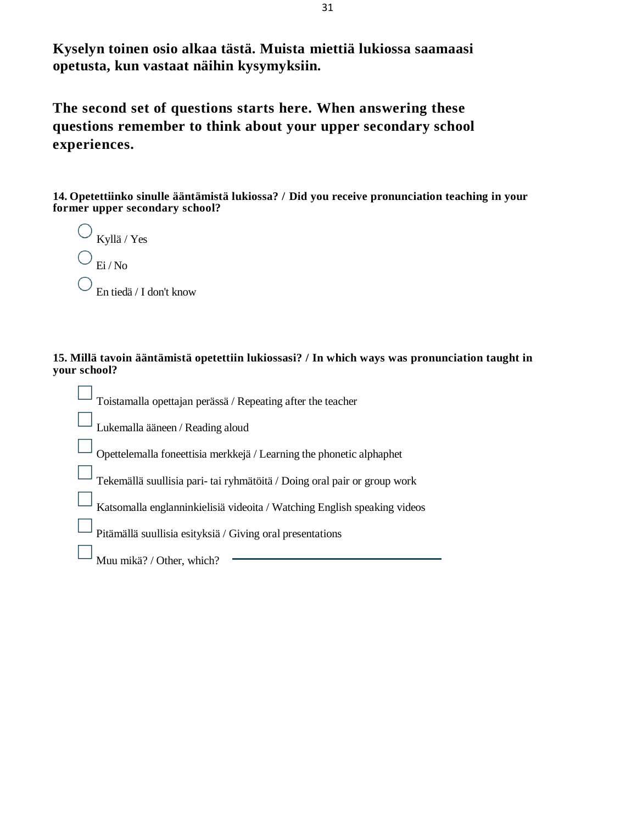**Kyselyn toinen osio alkaa tästä. Muista miettiä lukiossa saamaasi opetusta, kun vastaat näihin kysymyksiin.**

**The second set of questions starts here. When answering these questions remember to think about your upper secondary school experiences.**

**14. Opetettiinko sinulle ääntämistä lukiossa? / Did you receive pronunciation teaching in your former upper secondary school?**

| Kyllä / Yes             |
|-------------------------|
| Ei/No                   |
| En tiedä / I don't know |

### **15. Millä tavoin ääntämistä opetettiin lukiossasi? / In which ways was pronunciation taught in your school?**

| Toistamalla opettajan perässä / Repeating after the teacher              |
|--------------------------------------------------------------------------|
| Lukemalla ääneen / Reading aloud                                         |
| Opettelemalla foneettisia merkkejä / Learning the phonetic alphaphet     |
| Tekemällä suullisia pari- tai ryhmätöitä / Doing oral pair or group work |
| Katsomalla englanninkielisiä videoita / Watching English speaking videos |
| Pitämällä suullisia esityksiä / Giving oral presentations                |
| Muu mikä? / Other, which?                                                |
|                                                                          |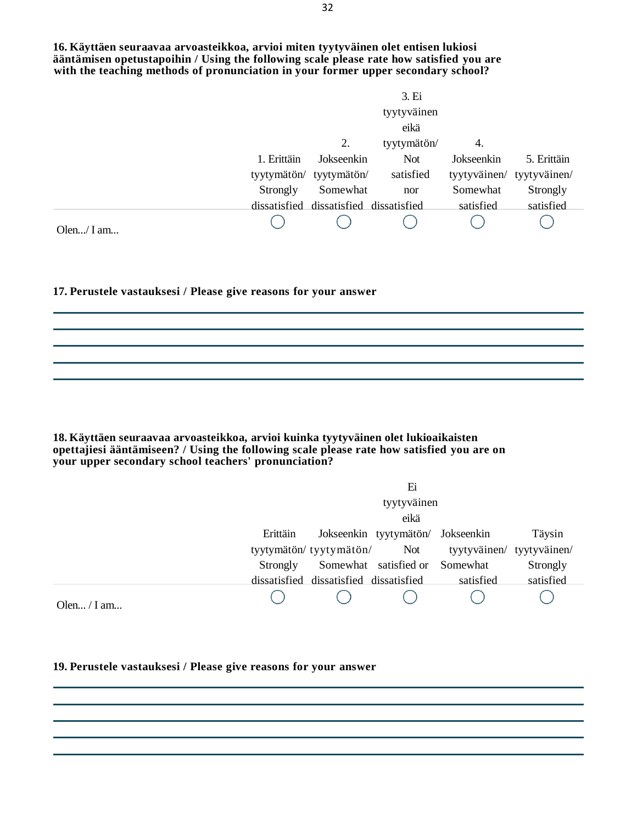**16. Käyttäen seuraavaa arvoasteikkoa, arvioi miten tyytyväinen olet entisen lukiosi ääntämisen opetustapoihin / Using the following scale please rate how satisfied you are** with the teaching methods of pronunciation in your former upper secondary school?

|               |             |                                        | 3. Ei       |                           |             |
|---------------|-------------|----------------------------------------|-------------|---------------------------|-------------|
|               |             |                                        | tyytyväinen |                           |             |
|               |             |                                        | eikä        |                           |             |
|               |             | 2.                                     | tyytymätön/ | 4.                        |             |
|               | 1. Erittäin | Jokseenkin                             | <b>Not</b>  | Jokseenkin                | 5. Erittäin |
|               |             | tyytymätön/ tyytymätön/                | satisfied   | tyytyväinen/ tyytyväinen/ |             |
|               | Strongly    | Somewhat                               | nor         | Somewhat                  | Strongly    |
|               |             | dissatisfied dissatisfied dissatisfied |             | satisfied                 | satisfied   |
| Olen $/$ I am |             |                                        |             |                           |             |

### **17. Perustele vastauksesi / Please give reasons for your answer**

**18. Käyttäen seuraavaa arvoasteikkoa, arvioi kuinka tyytyväinen olet lukioaikaisten opettajiesi ääntämiseen? / Using the following scale please rate how satisfied you are on your upper secondary school teachers' pronunciation?**

|             |          |                                        | Ei                                |                                                       |           |
|-------------|----------|----------------------------------------|-----------------------------------|-------------------------------------------------------|-----------|
|             |          |                                        | tyytyväinen                       |                                                       |           |
|             |          |                                        | eikä                              |                                                       |           |
|             | Erittäin |                                        | Jokseenkin tyytymätön/ Jokseenkin |                                                       | Täysin    |
|             |          |                                        |                                   | tyytymätön/ tyytymätön/ Not tyytyväinen/ tyytyväinen/ |           |
|             | Strongly |                                        | Somewhat satisfied or Somewhat    |                                                       | Strongly  |
|             |          | dissatisfied dissatisfied dissatisfied |                                   | satisfied                                             | satisfied |
| Olen / I am |          |                                        |                                   |                                                       |           |

### **19. Perustele vastauksesi / Please give reasons for your answer**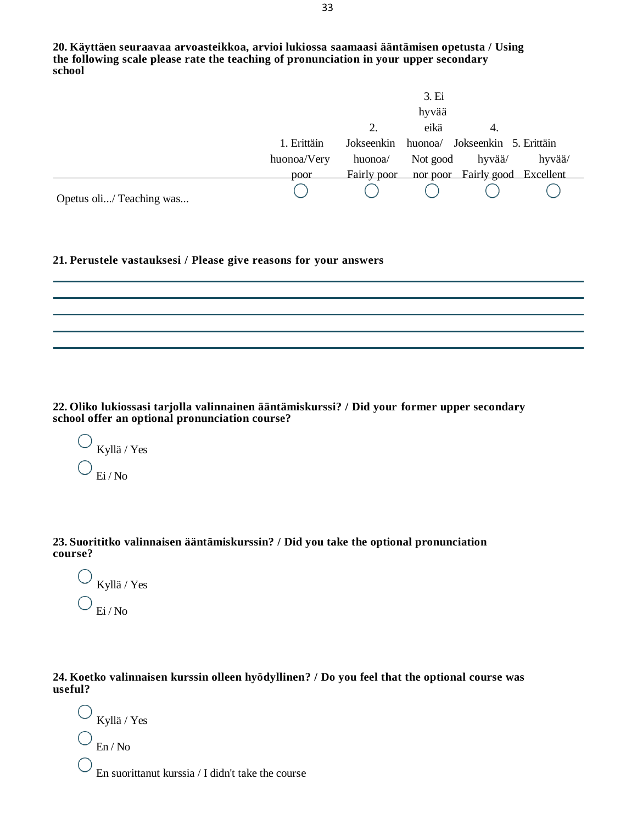|                          |             |             | 3. Ei    |                                |        |
|--------------------------|-------------|-------------|----------|--------------------------------|--------|
|                          |             |             | hyvää    |                                |        |
|                          |             |             | eikä     | 4.                             |        |
|                          | 1. Erittäin | Jokseenkin  |          | huonoa/ Jokseenkin 5. Erittäin |        |
|                          | huonoa/Very | huonoa/     | Not good | hyvää/                         | hyvää/ |
|                          | poor        | Fairly poor |          | nor poor Fairly good Excellent |        |
| Opetus oli/ Teaching was |             |             |          |                                |        |

**21. Perustele vastauksesi / Please give reasons for your answers**

**22. Oliko lukiossasi tarjolla valinnainen ääntämiskurssi? / Did your former upper secondary school offer an optional pronunciation course?**

Kyllä / Yes Ei / No

**23. Suorititko valinnaisen ääntämiskurssin? / Did you take the optional pronunciation course?**

Kyllä / Yes Ei / No

**24. Koetko valinnaisen kurssin olleen hyödyllinen? / Do you feel that the optional course was useful?**

Kyllä / Yes En / No En suorittanut kurssia / I didn't take the course